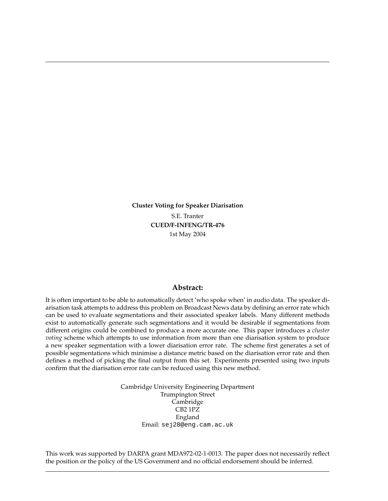**Cluster Voting for Speaker Diarisation** S.E. Tranter **CUED/F-INFENG/TR-476** 1st May 2004

### **Abstract:**

It is often important to be able to automatically detect 'who spoke when' in audio data. The speaker diarisation task attempts to address this problem on Broadcast News data by defining an error rate which can be used to evaluate segmentations and their associated speaker labels. Many different methods exist to automatically generate such segmentations and it would be desirable if segmentations from different origins could be combined to produce a more accurate one. This paper introduces a *cluster voting* scheme which attempts to use information from more than one diarisation system to produce a new speaker segmentation with a lower diarisation error rate. The scheme first generates a set of possible segmentations which minimise a distance metric based on the diarisation error rate and then defines a method of picking the final output from this set. Experiments presented using two inputs confirm that the diarisation error rate can be reduced using this new method.

> Cambridge University Engineering Department Trumpington Street Cambridge CB2 1PZ England Email: sej28@eng.cam.ac.uk

This work was supported by DARPA grant MDA972-02-1-0013. The paper does not necessarily reflect the position or the policy of the US Government and no official endorsement should be inferred.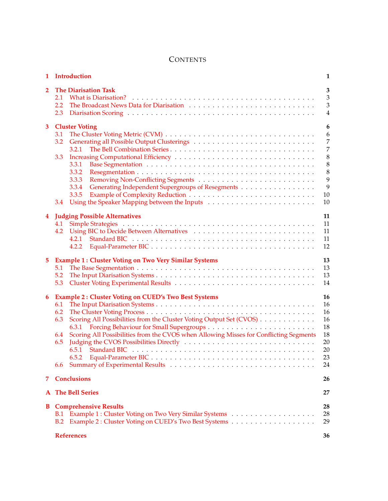# **CONTENTS**

| 1              | Introduction                                                                                                                                                                                                                                                                                                     | 1                                                                 |
|----------------|------------------------------------------------------------------------------------------------------------------------------------------------------------------------------------------------------------------------------------------------------------------------------------------------------------------|-------------------------------------------------------------------|
| $\overline{2}$ | <b>The Diarisation Task</b><br>2.1<br>2.2<br>2.3                                                                                                                                                                                                                                                                 | 3<br>3<br>3<br>4                                                  |
| 3              | <b>Cluster Voting</b><br>3.1<br>3.2<br>3.2.1<br>3.3<br>3.3.1<br>3.3.2<br>3.3.3<br>Generating Independent Supergroups of Resegments<br>3.3.4<br>3.3.5<br>3.4                                                                                                                                                      | 6<br>6<br>7<br>7<br>8<br>$\,8\,$<br>$\,8\,$<br>9<br>9<br>10<br>10 |
| 4              | <b>Judging Possible Alternatives</b><br>4.1<br>4.2<br>4.2.1<br>4.2.2                                                                                                                                                                                                                                             | 11<br>11<br>11<br>11<br>12                                        |
| 5              | <b>Example 1: Cluster Voting on Two Very Similar Systems</b><br>5.1<br>5.2<br>5.3                                                                                                                                                                                                                                | 13<br>13<br>13<br>14                                              |
| 6              | <b>Example 2: Cluster Voting on CUED's Two Best Systems</b><br>6.1<br>6.2<br>Scoring All Possibilities from the Cluster Voting Output Set (CVOS)<br>6.3<br>Scoring All Possibilities from the CVOS when Allowing Misses for Conflicting Segments<br>6.4<br>Judging the CVOS Possibilities Directly<br>6.5<br>6.6 | 16<br>16<br>16<br>16<br>18<br>18<br>20<br>20<br>23<br>24          |
| 7              | <b>Conclusions</b>                                                                                                                                                                                                                                                                                               | 26                                                                |
| A              | <b>The Bell Series</b>                                                                                                                                                                                                                                                                                           | 27                                                                |
| В              | <b>Comprehensive Results</b><br>B.1<br>B.2                                                                                                                                                                                                                                                                       | 28<br>28<br>29                                                    |
|                | <b>References</b>                                                                                                                                                                                                                                                                                                | 36                                                                |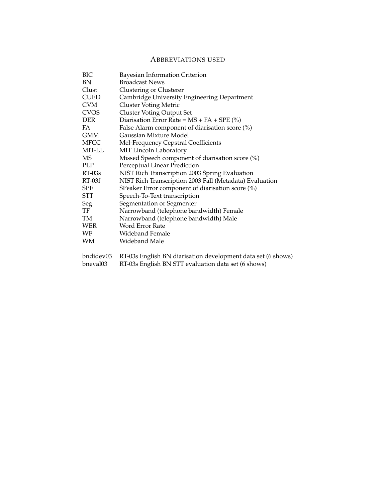# ABBREVIATIONS USED

| BIC         | Bayesian Information Criterion                               |
|-------------|--------------------------------------------------------------|
| BN          | <b>Broadcast News</b>                                        |
| Clust       | Clustering or Clusterer                                      |
| <b>CUED</b> | Cambridge University Engineering Department                  |
| <b>CVM</b>  | <b>Cluster Voting Metric</b>                                 |
| CVOS        | <b>Cluster Voting Output Set</b>                             |
| <b>DER</b>  | Diarisation Error Rate = $MS + FA + SPE$ (%)                 |
| FA.         | False Alarm component of diarisation score $(\%)$            |
| <b>GMM</b>  | Gaussian Mixture Model                                       |
| MFCC        | Mel-Frequency Cepstral Coefficients                          |
| MIT-LL      | MIT Lincoln Laboratory                                       |
| MS.         | Missed Speech component of diarisation score (%)             |
| PLP         | Perceptual Linear Prediction                                 |
| $RT-03s$    | NIST Rich Transcription 2003 Spring Evaluation               |
| RT-03f      | NIST Rich Transcription 2003 Fall (Metadata) Evaluation      |
| <b>SPE</b>  | SPeaker Error component of diarisation score (%)             |
| STT         | Speech-To-Text transcription                                 |
| Seg         | Segmentation or Segmenter                                    |
| TF          | Narrowband (telephone bandwidth) Female                      |
| TM          | Narrowband (telephone bandwidth) Male                        |
| WER         | Word Error Rate                                              |
| WF          | Wideband Female                                              |
| WM          | Wideband Male                                                |
| bndidev03   | RT-03s English BN diarisation development data set (6 shows) |
| bneval03    | RT-03s English BN STT evaluation data set (6 shows)          |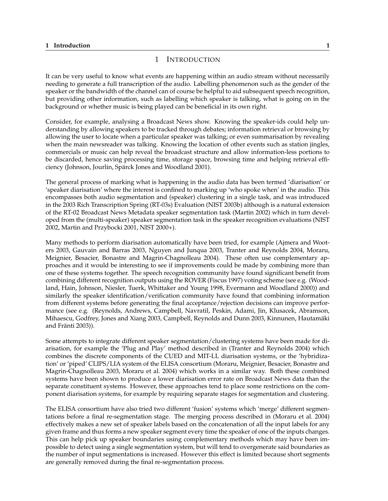### <span id="page-4-0"></span>**1 Introduction 1**

### 1 INTRODUCTION

It can be very useful to know what events are happening within an audio stream without necessarily needing to generate a full transcription of the audio. Labelling phenomenon such as the gender of the speaker or the bandwidth of the channel can of course be helpful to aid subsequent speech recognition, but providing other information, such as labelling which speaker is talking, what is going on in the background or whether music is being played can be beneficial in its own right.

Consider, for example, analysing a Broadcast News show. Knowing the speaker-ids could help understanding by allowing speakers to be tracked through debates; information retrieval or browsing by allowing the user to locate when a particular speaker was talking; or even summarisation by revealing when the main newsreader was talking. Knowing the location of other events such as station jingles, commercials or music can help reveal the broadcast structure and allow information-less portions to be discarded, hence saving processing time, storage space, browsing time and helping retrieval efficiency (Johnson, Jourlin, Spärck Jones and Woodland 2001).

The general process of marking what is happening in the audio data has been termed 'diarisation' or 'speaker diarisation' where the interest is confined to marking up 'who spoke when' in the audio. This encompasses both audio segmentation and (speaker) clustering in a single task, and was introduced in the 2003 Rich Transcription Spring (RT-03s) Evaluation (NIST 2003b) although is a natural extension of the RT-02 Broadcast News Metadata speaker segmentation task (Martin 2002) which in turn developed from the (multi-speaker) speaker segmentation task in the speaker recognition evaluations (NIST 2002, Martin and Przybocki 2001, NIST 2000+).

Many methods to perform diarisation automatically have been tried, for example (Ajmera and Wooters 2003, Gauvain and Barras 2003, Nguyen and Junqua 2003, Tranter and Reynolds 2004, Moraru, Meignier, Besacier, Bonastre and Magrin-Chagnolleau 2004). These often use complementary approaches and it would be interesting to see if improvements could be made by combining more than one of these systems together. The speech recognition community have found significant benefit from combining different recognition outputs using the ROVER (Fiscus 1997) voting scheme (see e.g. (Woodland, Hain, Johnson, Niesler, Tuerk, Whittaker and Young 1998, Evermann and Woodland 2000)) and similarly the speaker identification/verification community have found that combining information from different systems before generating the final acceptance/rejection decisions can improve performance (see e.g. (Reynolds, Andrews, Campbell, Navratil, Peskin, Adami, Jin, Klusacek, Abramson, Mihaescu, Godfrey, Jones and Xiang 2003, Campbell, Reynolds and Dunn 2003, Kinnunen, Hautamaki ¨ and Fränti 2003)).

Some attempts to integrate different speaker segmentation/clustering systems have been made for diarisation, for example the 'Plug and Play' method described in (Tranter and Reynolds 2004) which combines the discrete components of the CUED and MIT-LL diarisation systems, or the 'hybridization' or 'piped' CLIPS/LIA system of the ELISA consortium (Moraru, Meignier, Besacier, Bonastre and Magrin-Chagnolleau 2003, Moraru et al. 2004) which works in a similar way. Both these combined systems have been shown to produce a lower diarisation error rate on Broadcast News data than the separate constituent systems. However, these approaches tend to place some restrictions on the component diarisation systems, for example by requiring separate stages for segmentation and clustering.

The ELISA consortium have also tried two different 'fusion' systems which 'merge' different segmentations before a final re-segmentation stage. The merging process described in (Moraru et al. 2004) effectively makes a new set of speaker labels based on the concatenation of all the input labels for any given frame and thus forms a new speaker segment every time the speaker of one of the inputs changes. This can help pick up speaker boundaries using complementary methods which may have been impossible to detect using a single segmentation system, but will tend to overgenerate said boundaries as the number of input segmentations is increased. However this effect is limited because short segments are generally removed during the final re-segmentation process.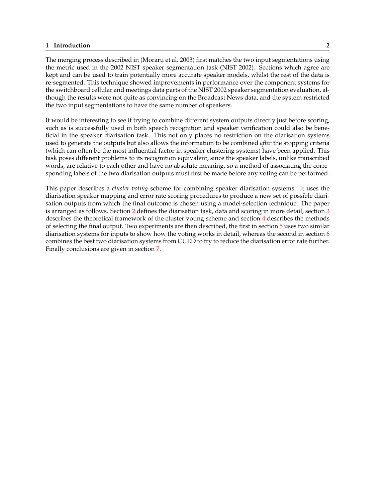#### **1 Introduction 2**

The merging process described in (Moraru et al. 2003) first matches the two input segmentations using the metric used in the 2002 NIST speaker segmentation task (NIST 2002). Sections which agree are kept and can be used to train potentially more accurate speaker models, whilst the rest of the data is re-segmented. This technique showed improvements in performance over the component systems for the switchboard cellular and meetings data parts of the NIST 2002 speaker segmentation evaluation, although the results were not quite as convincing on the Broadcast News data, and the system restricted the two input segmentations to have the same number of speakers.

It would be interesting to see if trying to combine different system outputs directly just before scoring, such as is successfully used in both speech recognition and speaker verification could also be beneficial in the speaker diarisation task. This not only places no restriction on the diarisation systems used to generate the outputs but also allows the information to be combined *after* the stopping criteria (which can often be the most influential factor in speaker clustering systems) have been applied. This task poses different problems to its recognition equivalent, since the speaker labels, unlike transcribed words, are relative to each other and have no absolute meaning, so a method of associating the corresponding labels of the two diarisation outputs must first be made before any voting can be performed.

This paper describes a *cluster voting* scheme for combining speaker diarisation systems. It uses the diarisation speaker mapping and error rate scoring procedures to produce a new set of possible diarisation outputs from which the final outcome is chosen using a model-selection technique. The paper is arranged as follows. Section [2](#page-6-0) defines the diarisation task, data and scoring in more detail, section [3](#page-9-0) describes the theoretical framework of the cluster voting scheme and section [4](#page-14-0) describes the methods of selecting the final output. Two experiments are then described, the first in section [5](#page-16-0) uses two similar diarisation systems for inputs to show how the voting works in detail, whereas the second in section [6](#page-19-0) combines the best two diarisation systems from CUED to try to reduce the diarisation error rate further. Finally conclusions are given in section [7.](#page-29-0)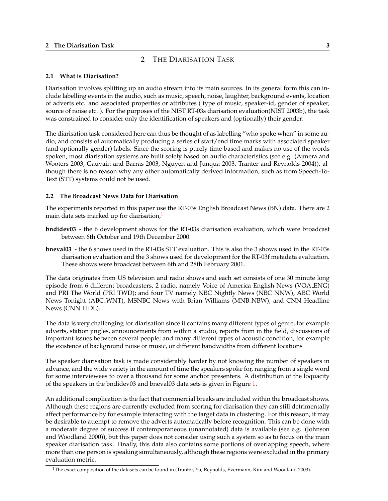### <span id="page-6-0"></span>**2 The Diarisation Task 3**

# 2 THE DIARISATION TASK

### **2.1 What is Diarisation?**

Diarisation involves splitting up an audio stream into its main sources. In its general form this can include labelling events in the audio, such as music, speech, noise, laughter, background events, location of adverts etc. and associated properties or attributes ( type of music, speaker-id, gender of speaker, source of noise etc. ). For the purposes of the NIST RT-03s diarisation evaluation(NIST 2003b), the task was constrained to consider only the identification of speakers and (optionally) their gender.

The diarisation task considered here can thus be thought of as labelling "who spoke when" in some audio, and consists of automatically producing a series of start/end time marks with associated speaker (and optionally gender) labels. Since the scoring is purely time-based and makes no use of the words spoken, most diarisation systems are built solely based on audio characteristics (see e.g. (Ajmera and Wooters 2003, Gauvain and Barras 2003, Nguyen and Junqua 2003, Tranter and Reynolds 2004)), although there is no reason why any other automatically derived information, such as from Speech-To-Text (STT) systems could not be used.

### **2.2 The Broadcast News Data for Diarisation**

The experiments reported in this paper use the RT-03s English Broadcast News (BN) data. There are 2 main data sets marked up for diarisation,<sup>1</sup>

- **bndidev03** the 6 development shows for the RT-03s diarisation evaluation, which were broadcast between 6th October and 19th December 2000.
- **bneval03** the 6 shows used in the RT-03s STT evaluation. This is also the 3 shows used in the RT-03s diarisation evaluation and the 3 shows used for development for the RT-03f metadata evaluation. These shows were broadcast between 6th and 28th February 2001.

The data originates from US television and radio shows and each set consists of one 30 minute long episode from 6 different broadcasters, 2 radio, namely Voice of America English News (VOA ENG) and PRI The World (PRI\_TWD); and four TV namely NBC Nightly News (NBC\_NNW), ABC World News Tonight (ABC WNT), MSNBC News with Brian Williams (MNB NBW), and CNN Headline News (CNN HDL).

The data is very challenging for diarisation since it contains many different types of genre, for example adverts, station jingles, announcements from within a studio, reports from in the field, discussions of important issues between several people; and many different types of acoustic condition, for example the existence of background noise or music, or different bandwidths from different locations

The speaker diarisation task is made considerably harder by not knowing the number of speakers in advance, and the wide variety in the amount of time the speakers spoke for, ranging from a single word for some interviewees to over a thousand for some anchor presenters. A distribution of the loquacity of the speakers in the bndidev03 and bneval03 data sets is given in Figure [1.](#page-7-0)

An additional complication is the fact that commercial breaks are included within the broadcast shows. Although these regions are currently excluded from scoring for diarisation they can still detrimentally affect performance by for example interacting with the target data in clustering. For this reason, it may be desirable to attempt to remove the adverts automatically before recognition. This can be done with a moderate degree of success if contemporaneous (unannotated) data is available (see e.g. (Johnson and Woodland 2000)), but this paper does not consider using such a system so as to focus on the main speaker diarisation task. Finally, this data also contains some portions of overlapping speech, where more than one person is speaking simultaneously, although these regions were excluded in the primary evaluation metric.

<sup>&</sup>lt;sup>1</sup>The exact composition of the datasets can be found in (Tranter, Yu, Reynolds, Evermann, Kim and Woodland 2003).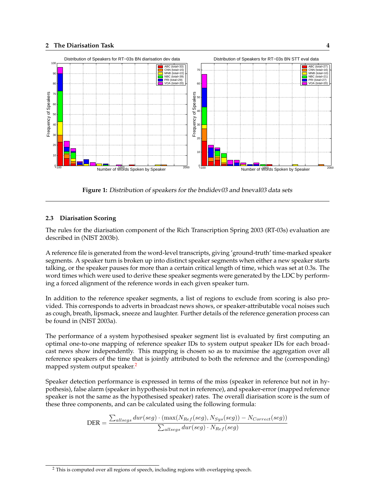### <span id="page-7-0"></span>**2 The Diarisation Task 4**



**Figure 1:** Distribution of speakers for the bndidev03 and bneval03 data sets

### **2.3 Diarisation Scoring**

The rules for the diarisation component of the Rich Transcription Spring 2003 (RT-03s) evaluation are described in (NIST 2003b).

A reference file is generated from the word-level transcripts, giving 'ground-truth' time-marked speaker segments. A speaker turn is broken up into distinct speaker segments when either a new speaker starts talking, or the speaker pauses for more than a certain critical length of time, which was set at 0.3s. The word times which were used to derive these speaker segments were generated by the LDC by performing a forced alignment of the reference words in each given speaker turn.

In addition to the reference speaker segments, a list of regions to exclude from scoring is also provided. This corresponds to adverts in broadcast news shows, or speaker-attributable vocal noises such as cough, breath, lipsmack, sneeze and laughter. Further details of the reference generation process can be found in (NIST 2003a).

The performance of a system hypothesised speaker segment list is evaluated by first computing an optimal one-to-one mapping of reference speaker IDs to system output speaker IDs for each broadcast news show independently. This mapping is chosen so as to maximise the aggregation over all reference speakers of the time that is jointly attributed to both the reference and the (corresponding) mapped system output speaker.<sup>2</sup>

Speaker detection performance is expressed in terms of the miss (speaker in reference but not in hypothesis), false alarm (speaker in hypothesis but not in reference), and speaker-error (mapped reference speaker is not the same as the hypothesised speaker) rates. The overall diarisation score is the sum of these three components, and can be calculated using the following formula:

$$
\text{DER} = \frac{\sum_{allsegs} dur(seg) \cdot (\max(N_{Ref}(seg), N_{Sys}(seg)) - N_{Correct}(seg))}{\sum_{allsegs} dur(seg) \cdot N_{Ref}(seg)}
$$

 $^{\rm 2}$  This is computed over all regions of speech, including regions with overlapping speech.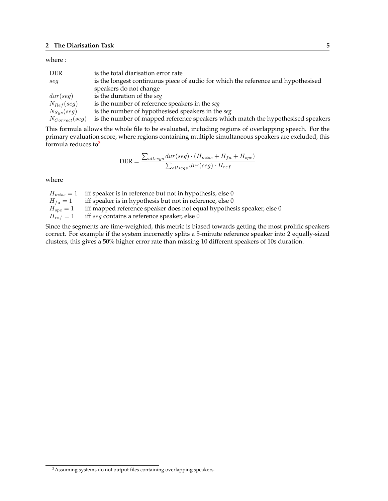#### where :

| <b>DER</b>         | is the total diarisation error rate                                               |
|--------------------|-----------------------------------------------------------------------------------|
| seq                | is the longest continuous piece of audio for which the reference and hypothesised |
|                    | speakers do not change                                                            |
| dur(seq)           | is the duration of the seg                                                        |
| $N_{Ref}(seg)$     | is the number of reference speakers in the seg                                    |
| $N_{Sys}(seg)$     | is the number of hypothesised speakers in the seg                                 |
| $N_{Correct}(seg)$ | is the number of mapped reference speakers which match the hypothesised speakers  |

This formula allows the whole file to be evaluated, including regions of overlapping speech. For the primary evaluation score, where regions containing multiple simultaneous speakers are excluded, this formula reduces to $3$ 

$$
\text{DER} = \frac{\sum_{allsegs} dur(seg) \cdot (H_{miss} + H_{fa} + H_{spe})}{\sum_{allsegs} dur(seg) \cdot H_{ref}}
$$

where

 $H_{miss} = 1$  iff speaker is in reference but not in hypothesis, else 0  $H_{fa} = 1$  iff speaker is in hypothesis but not in reference, else 0  $H_{spe} = 1$  iff mapped reference speaker does not equal hypothesis speaker, else 0  $H_{ref} = 1$  iff seg contains a reference speaker, else 0

Since the segments are time-weighted, this metric is biased towards getting the most prolific speakers correct. For example if the system incorrectly splits a 5-minute reference speaker into 2 equally-sized clusters, this gives a 50% higher error rate than missing 10 different speakers of 10s duration.

 $^3\!$  Assuming systems do not output files containing overlapping speakers.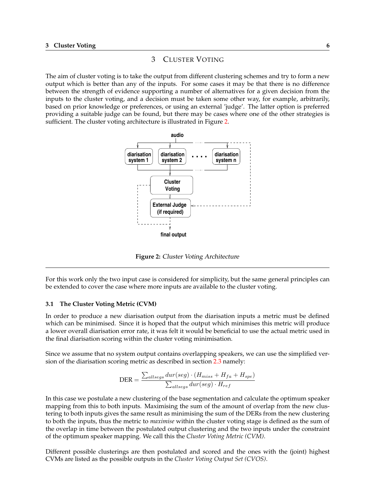# 3 CLUSTER VOTING

<span id="page-9-0"></span>The aim of cluster voting is to take the output from different clustering schemes and try to form a new output which is better than any of the inputs. For some cases it may be that there is no difference between the strength of evidence supporting a number of alternatives for a given decision from the inputs to the cluster voting, and a decision must be taken some other way, for example, arbitrarily, based on prior knowledge or preferences, or using an external 'judge'. The latter option is preferred providing a suitable judge can be found, but there may be cases where one of the other strategies is sufficient. The cluster voting architecture is illustrated in Figure 2.



**Figure 2:** Cluster Voting Architecture

For this work only the two input case is considered for simplicity, but the same general principles can be extended to cover the case where more inputs are available to the cluster voting.

#### **3.1 The Cluster Voting Metric (CVM)**

In order to produce a new diarisation output from the diarisation inputs a metric must be defined which can be minimised. Since it is hoped that the output which minimises this metric will produce a lower overall diarisation error rate, it was felt it would be beneficial to use the actual metric used in the final diarisation scoring within the cluster voting minimisation.

Since we assume that no system output contains overlapping speakers, we can use the simplified version of the diarisation scoring metric as described in section [2.3](#page-7-0) namely:

$$
\text{DER} = \frac{\sum_{allsegs} dur(seg) \cdot (H_{miss} + H_{fa} + H_{spe})}{\sum_{allsegs} dur(seg) \cdot H_{ref}}
$$

In this case we postulate a new clustering of the base segmentation and calculate the optimum speaker mapping from this to both inputs. Maximising the sum of the amount of overlap from the new clustering to both inputs gives the same result as minimising the sum of the DERs from the new clustering to both the inputs, thus the metric to *maximise* within the cluster voting stage is defined as the sum of the overlap in time between the postulated output clustering and the two inputs under the constraint of the optimum speaker mapping. We call this the *Cluster Voting Metric (CVM)*.

Different possible clusterings are then postulated and scored and the ones with the (joint) highest CVMs are listed as the possible outputs in the *Cluster Voting Output Set (CVOS)*.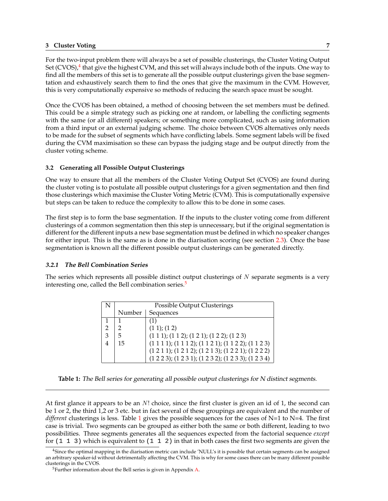### <span id="page-10-0"></span>**3 Cluster Voting 7**

For the two-input problem there will always be a set of possible clusterings, the Cluster Voting Output Set (CVOS),<sup>4</sup> that give the highest CVM, and this set will always include both of the inputs. One way to find all the members of this set is to generate all the possible output clusterings given the base segmentation and exhaustively search them to find the ones that give the maximum in the CVM. However, this is very computationally expensive so methods of reducing the search space must be sought.

Once the CVOS has been obtained, a method of choosing between the set members must be defined. This could be a simple strategy such as picking one at random, or labelling the conflicting segments with the same (or all different) speakers; or something more complicated, such as using information from a third input or an external judging scheme. The choice between CVOS alternatives only needs to be made for the subset of segments which have conflicting labels. Some segment labels will be fixed during the CVM maximisation so these can bypass the judging stage and be output directly from the cluster voting scheme.

### **3.2 Generating all Possible Output Clusterings**

One way to ensure that all the members of the Cluster Voting Output Set (CVOS) are found during the cluster voting is to postulate all possible output clusterings for a given segmentation and then find those clusterings which maximise the Cluster Voting Metric (CVM). This is computationally expensive but steps can be taken to reduce the complexity to allow this to be done in some cases.

The first step is to form the base segmentation. If the inputs to the cluster voting come from different clusterings of a common segmentation then this step is unnecessary, but if the original segmentation is different for the different inputs a new base segmentation must be defined in which no speaker changes for either input. This is the same as is done in the diarisation scoring (see section [2.3\)](#page-7-0). Once the base segmentation is known all the different possible output clusterings can be generated directly.

#### **3.2.1 The Bell Combination Series**

The series which represents all possible distinct output clusterings of  $N$  separate segments is a very interesting one, called the Bell combination series.<sup>5</sup>

|   | Possible Output Clusterings |                                                                                |  |  |  |  |  |  |  |
|---|-----------------------------|--------------------------------------------------------------------------------|--|--|--|--|--|--|--|
|   | Number                      | Sequences                                                                      |  |  |  |  |  |  |  |
|   |                             |                                                                                |  |  |  |  |  |  |  |
| 2 |                             | (1 1); (1 2)                                                                   |  |  |  |  |  |  |  |
| 3 | 5                           | $(1\ 1\ 1);$ $(1\ 1\ 2);$ $(1\ 2\ 1);$ $(1\ 2\ 2);$ $(1\ 2\ 3)$                |  |  |  |  |  |  |  |
| 4 | 15                          | $(1\ 1\ 1\ 1);$ $(1\ 1\ 1\ 2);$ $(1\ 1\ 2\ 1);$ $(1\ 1\ 2\ 2);$ $(1\ 1\ 2\ 3)$ |  |  |  |  |  |  |  |
|   |                             | $(1 2 1 1); (1 2 1 2); (1 2 1 3); (1 2 2 1); (1 2 2 2)$                        |  |  |  |  |  |  |  |
|   |                             | $(1 2 2 3)$ ; $(1 2 3 1)$ ; $(1 2 3 2)$ ; $(1 2 3 3)$ ; $(1 2 3 4)$            |  |  |  |  |  |  |  |

**Table 1:** The Bell series for generating all possible output clusterings for <sup>N</sup> distinct segments.

At first glance it appears to be an  $N!$  choice, since the first cluster is given an id of 1, the second can be 1 or 2, the third 1,2 or 3 etc. but in fact several of these groupings are equivalent and the number of *different* clusterings is less. Table 1 gives the possible sequences for the cases of N=1 to N=4. The first case is trivial. Two segments can be grouped as either both the same or both different, leading to two possibilities. Three segments generates all the sequences expected from the factorial sequence *except* for  $(1\ 1\ 3)$  which is equivalent to  $(1\ 1\ 2)$  in that in both cases the first two segments are given the

 $4$ Since the optimal mapping in the diarisation metric can include 'NULL's it is possible that certain segments can be assigned an arbitrary speaker-id without detrimentally affecting the CVM. This is why for some cases there can be many different possible clusterings in the CVOS.

<sup>5</sup>Further information about the Bell series is given in Appendix [A.](#page-30-0)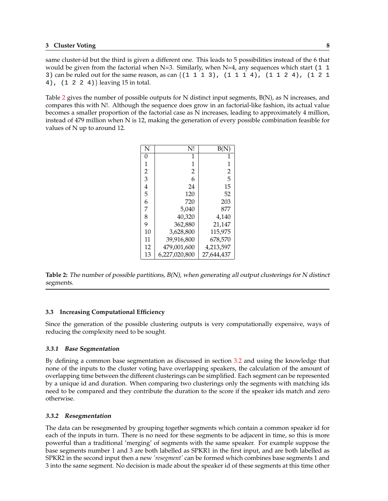<span id="page-11-0"></span>same cluster-id but the third is given a different one. This leads to 5 possibilities instead of the 6 that would be given from the factorial when N=3. Similarly, when N=4, any sequences which start (1  $\pm$ 3) can be ruled out for the same reason, as can  $\{(1\ 1\ 1\ 3), (1\ 1\ 1\ 4), (1\ 1\ 2\ 4), (1\ 2\ 1\ 1\ 3)\}$ 4), (1 2 2 4)} leaving 15 in total.

Table 2 gives the number of possible outputs for N distinct input segments, B(N), as N increases, and compares this with N!. Although the sequence does grow in an factorial-like fashion, its actual value becomes a smaller proportion of the factorial case as N increases, leading to approximately 4 million, instead of 479 million when N is 12, making the generation of every possible combination feasible for values of N up to around 12.

| N              | N!             | B(             |
|----------------|----------------|----------------|
| 0              | 1              | 1              |
| 1              | 1              | 1              |
| $\overline{2}$ | $\overline{2}$ | $\overline{2}$ |
| 3              | 6              | 5              |
| 4              | 24             | 15             |
| 5              | 120            | 52             |
| 6              | 720            | 203            |
| 7              | 5.040          | 877            |
| 8              | 40,320         | 4.140          |
| 9              | 362,880        | 21,147         |
| 10             | 3,628,800      | 115,975        |
| 11             | 39.916.800     | 678,570        |
| 12             | 479,001,600    | 4,213,597      |
| 13             | 6,227,020,800  | 27,644,437     |

**Table 2:** The number of possible partitions, B(N), when generating all output clusterings for <sup>N</sup> distinct segments.

### **3.3 Increasing Computational Efficiency**

Since the generation of the possible clustering outputs is very computationally expensive, ways of reducing the complexity need to be sought.

### **3.3.1 Base Segmentation**

By defining a common base segmentation as discussed in section [3.2](#page-10-0) and using the knowledge that none of the inputs to the cluster voting have overlapping speakers, the calculation of the amount of overlapping time between the different clusterings can be simplified. Each segment can be represented by a unique id and duration. When comparing two clusterings only the segments with matching ids need to be compared and they contribute the duration to the score if the speaker ids match and zero otherwise.

### **3.3.2 Resegmentation**

The data can be resegmented by grouping together segments which contain a common speaker id for each of the inputs in turn. There is no need for these segments to be adjacent in time, so this is more powerful than a traditional 'merging' of segments with the same speaker. For example suppose the base segments number 1 and 3 are both labelled as SPKR1 in the first input, and are both labelled as SPKR2 in the second input then a new *'resegment'* can be formed which combines base segments 1 and 3 into the same segment. No decision is made about the speaker id of these segments at this time other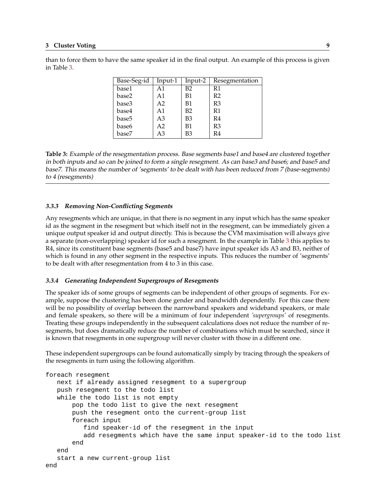### <span id="page-12-0"></span>**3 Cluster Voting 9**

| Base-Seg-id | Input-1        | Input-2   | Resegmentation |
|-------------|----------------|-----------|----------------|
| base1       | Α1             | B2        | R1             |
| base2       | A1             | <b>B1</b> | R <sub>2</sub> |
| base3       | A <sub>2</sub> | <b>B1</b> | R <sub>3</sub> |
| base4       | A <sub>1</sub> | B2        | R1             |
| base5       | A3             | B3        | R4             |
| base6       | A <sub>2</sub> | <b>B1</b> | R3             |
| base7       | A3             | B3        | R4             |

than to force them to have the same speaker id in the final output. An example of this process is given in Table 3.

**Table 3:** Example of the resegmentation process. Base segments base1 and base4 are clustered together in both inputs and so can be joined to form <sup>a</sup> single resegment. As can base3 and base6; and base5 and base7. This means the number of 'segments' to be dealt with has been reduced from <sup>7</sup> (base-segments) to <sup>4</sup> (resegments)

### **3.3.3 Removing Non-Conflicting Segments**

Any resegments which are unique, in that there is no segment in any input which has the same speaker id as the segment in the resegment but which itself not in the resegment, can be immediately given a unique output speaker id and output directly. This is because the CVM maximisation will always give a separate (non-overlapping) speaker id for such a resegment. In the example in Table 3 this applies to R4, since its constituent base segments (base5 and base7) have input speaker ids A3 and B3, neither of which is found in any other segment in the respective inputs. This reduces the number of 'segments' to be dealt with after resegmentation from 4 to 3 in this case.

### **3.3.4 Generating Independent Supergroups of Resegments**

The speaker ids of some groups of segments can be independent of other groups of segments. For example, suppose the clustering has been done gender and bandwidth dependently. For this case there will be no possibility of overlap between the narrowband speakers and wideband speakers, or male and female speakers, so there will be a minimum of four independent *'supergroups'* of resegments. Treating these groups independently in the subsequent calculations does not reduce the number of resegments, but does dramatically reduce the number of combinations which must be searched, since it is known that resegments in one supergroup will never cluster with those in a different one.

These independent supergroups can be found automatically simply by tracing through the speakers of the resegments in turn using the following algorithm.

```
foreach resegment
  next if already assigned resegment to a supergroup
  push resegment to the todo list
   while the todo list is not empty
       pop the todo list to give the next resegment
      push the resegment onto the current-group list
       foreach input
          find speaker-id of the resegment in the input
          add resegments which have the same input speaker-id to the todo list
       end
   end
   start a new current-group list
end
```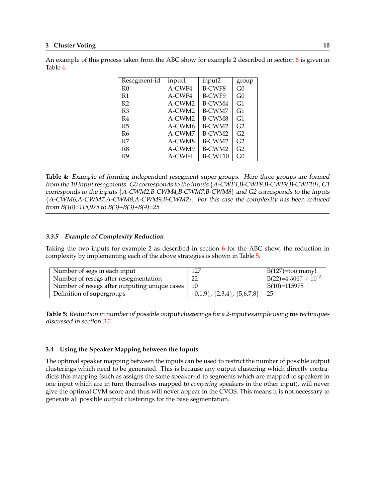| Resegment-id   | input1 | input2        | group          |
|----------------|--------|---------------|----------------|
| R <sub>0</sub> | A-CWF4 | <b>B-CWF8</b> | G0             |
| R1             | A-CWF4 | B-CWF9        | G0             |
| R <sub>2</sub> | A-CWM2 | B-CWM4        | G1             |
| R <sub>3</sub> | A-CWM2 | B-CWM7        | G1             |
| R4             | A-CWM2 | <b>B-CWM8</b> | G <sub>1</sub> |
| R5             | A-CWM6 | B-CWM2        | G2             |
| R6             | A-CWM7 | B-CWM2        | G2             |
| R7             | A-CWM8 | B-CWM2        | G2             |
| R8             | A-CWM9 | B-CWM2        | G2             |
| R9             | A-CWF4 | B-CWF10       | G0             |

<span id="page-13-0"></span>An example of this process taken from the ABC show for example 2 described in section  $6$  is given in Table 4.

**Table 4:** Example of forming independent resegment super-groups. Here three groups are formed from the <sup>10</sup> input resegments. G0 corresponds to the inputs {A-CWF4,B-CWF8,B-CWF9,B-CWF10}, G1 corresponds to the inputs {A-CWM2,B-CWM4,B-CWM7,B-CWM8} and G2 corresponds to the inputs {A-CWM6,A-CWM7,A-CWM8,A-CWM9,B-CWM2}. For this case the complexity has been reduced from  $B(10)=115,975$  to  $B(3)+B(3)+B(4)=25$ 

#### **3.3.5 Example of Complexity Reduction**

Taking the two inputs for example 2 as described in section [6](#page-19-0) for the ABC show, the reduction in complexity by implementing each of the above strategies is shown in Table 5.

| Number of segs in each input                  | 127                                       | $B(127)=\text{too many!}$         |
|-----------------------------------------------|-------------------------------------------|-----------------------------------|
| Number of resegs after resegmentation         |                                           | $\mid B(22)=4.5067\times 10^{15}$ |
| Number of resegs after outputing unique cases | 10                                        | $B(10)=115975$                    |
| Definition of supergroups                     | $\{0,1,9\}$ , $\{2,3,4\}$ , $\{5,6,7,8\}$ | 25                                |

**Table 5:** Reduction in number of possible output clusterings for <sup>a</sup> 2-input example using the techniques discussed in section [3.3](#page-11-0)

#### **3.4 Using the Speaker Mapping between the Inputs**

The optimal speaker mapping between the inputs can be used to restrict the number of possible output clusterings which need to be generated. This is because any output clustering which directly contradicts this mapping (such as assigns the same speaker-id to segments which are mapped to speakers in one input which are in turn themselves mapped to *competing* speakers in the other input), will never give the optimal CVM score and thus will never appear in the CVOS. This means it is not necessary to generate all possible output clusterings for the base segmentation.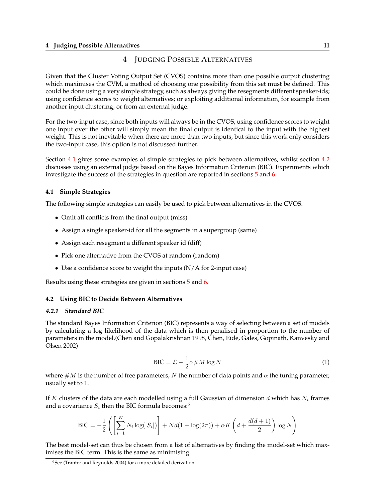# 4 JUDGING POSSIBLE ALTERNATIVES

<span id="page-14-0"></span>Given that the Cluster Voting Output Set (CVOS) contains more than one possible output clustering which maximises the CVM, a method of choosing one possibility from this set must be defined. This could be done using a very simple strategy, such as always giving the resegments different speaker-ids; using confidence scores to weight alternatives; or exploiting additional information, for example from another input clustering, or from an external judge.

For the two-input case, since both inputs will always be in the CVOS, using confidence scores to weight one input over the other will simply mean the final output is identical to the input with the highest weight. This is not inevitable when there are more than two inputs, but since this work only considers the two-input case, this option is not discussed further.

Section 4.1 gives some examples of simple strategies to pick between alternatives, whilst section 4.2 discusses using an external judge based on the Bayes Information Criterion (BIC). Experiments which investigate the success of the strategies in question are reported in sections [5](#page-16-0) and [6.](#page-19-0)

### **4.1 Simple Strategies**

The following simple strategies can easily be used to pick between alternatives in the CVOS.

- Omit all conflicts from the final output (miss)
- Assign a single speaker-id for all the segments in a supergroup (same)
- Assign each resegment a different speaker id (diff)
- Pick one alternative from the CVOS at random (random)
- Use a confidence score to weight the inputs (N/A for 2-input case)

Results using these strategies are given in sections [5](#page-16-0) and [6.](#page-19-0)

### **4.2 Using BIC to Decide Between Alternatives**

#### **4.2.1 Standard BIC**

The standard Bayes Information Criterion (BIC) represents a way of selecting between a set of models by calculating a log likelihood of the data which is then penalised in proportion to the number of parameters in the model.(Chen and Gopalakrishnan 1998, Chen, Eide, Gales, Gopinath, Kanvesky and Olsen 2002)

$$
BIC = \mathcal{L} - \frac{1}{2}\alpha \# M \log N \tag{1}
$$

where  $\#M$  is the number of free parameters, N the number of data points and  $\alpha$  the tuning parameter, usually set to 1.

If K clusters of the data are each modelled using a full Gaussian of dimension d which has  $N_i$  frames and a covariance  $S_i$  then the BIC formula becomes:<sup>6</sup>

$$
\text{BIC} = -\frac{1}{2} \left( \left[ \sum_{i=1}^{K} N_i \log(|S_i|) \right] + N d(1 + \log(2\pi)) + \alpha K \left( d + \frac{d(d+1)}{2} \right) \log N \right)
$$

The best model-set can thus be chosen from a list of alternatives by finding the model-set which maximises the BIC term. This is the same as minimising

<sup>6</sup>See (Tranter and Reynolds 2004) for a more detailed derivation.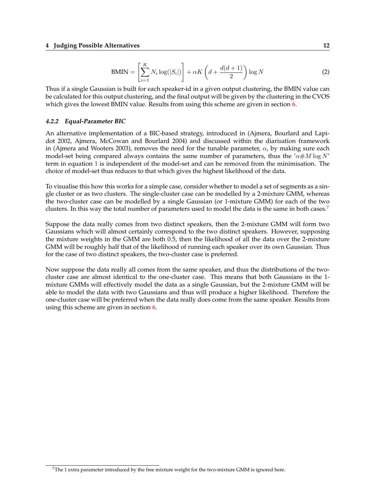#### <span id="page-15-0"></span>**4 Judging Possible Alternatives 12**

$$
BMIN = \left[\sum_{i=1}^{K} N_i \log(|S_i|)\right] + \alpha K \left(d + \frac{d(d+1)}{2}\right) \log N \tag{2}
$$

Thus if a single Gaussian is built for each speaker-id in a given output clustering, the BMIN value can be calculated for this output clustering, and the final output will be given by the clustering in the CVOS which gives the lowest BMIN value. Results from using this scheme are given in section [6.](#page-19-0)

#### **4.2.2 Equal-Parameter BIC**

An alternative implementation of a BIC-based strategy, introduced in (Ajmera, Bourlard and Lapidot 2002, Ajmera, McCowan and Bourlard 2004) and discussed within the diarisation framework in (Ajmera and Wooters 2003), removes the need for the tunable parameter,  $\alpha$ , by making sure each model-set being compared always contains the same number of parameters, thus the ' $\alpha \# M \log N'$ term in equation [1](#page-14-0) is independent of the model-set and can be removed from the minimisation. The choice of model-set thus reduces to that which gives the highest likelihood of the data.

To visualise this how this works for a simple case, consider whether to model a set of segments as a single cluster or as two clusters. The single-cluster case can be modelled by a 2-mixture GMM, whereas the two-cluster case can be modelled by a single Gaussian (or 1-mixture GMM) for each of the two clusters. In this way the total number of parameters used to model the data is the same in both cases.<sup>7</sup>

Suppose the data really comes from two distinct speakers, then the 2-mixture GMM will form two Gaussians which will almost certainly correspond to the two distinct speakers. However, supposing the mixture weights in the GMM are both 0.5, then the likelihood of all the data over the 2-mixture GMM will be roughly half that of the likelihood of running each speaker over its own Gaussian. Thus for the case of two distinct speakers, the two-cluster case is preferred.

Now suppose the data really all comes from the same speaker, and thus the distributions of the twocluster case are almost identical to the one-cluster case. This means that both Gaussians in the 1 mixture GMMs will effectively model the data as a single Gaussian, but the 2-mixture GMM will be able to model the data with two Gaussians and thus will produce a higher likelihood. Therefore the one-cluster case will be preferred when the data really does come from the same speaker. Results from using this scheme are given in section [6.](#page-19-0)

 $7$ The 1 extra parameter introduced by the free mixture weight for the two-mixture GMM is ignored here.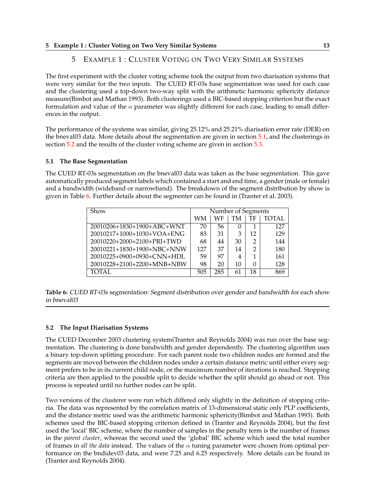# <span id="page-16-0"></span>**5 Example 1 : Cluster Voting on Two Very Similar Systems 13**

# 5 EXAMPLE 1 : CLUSTER VOTING ON TWO VERY SIMILAR SYSTEMS

The first experiment with the cluster voting scheme took the output from two diarisation systems that were very similar for the two inputs. The CUED RT-03s base segmentation was used for each case and the clustering used a top-down two-way split with the arithmetic harmonic sphericity distance measure(Bimbot and Mathan 1993). Both clusterings used a BIC-based stopping criterion but the exact formulation and value of the  $\alpha$  parameter was slightly different for each case, leading to small differences in the output.

The performance of the systems was similar, giving 25.12% and 25.21% diarisation error rate (DER) on the bneval03 data. More details about the segmentation are given in section 5.1, and the clusterings in section 5.2 and the results of the cluster voting scheme are given in section [5.3.](#page-17-0)

# **5.1 The Base Segmentation**

The CUED RT-03s segmentation on the bneval03 data was taken as the base segmentation. This gave automatically produced segment labels which contained a start and end time, a gender (male or female) and a bandwidth (wideband or narrowband). The breakdown of the segment distribution by show is given in Table 6. Further details about the segmenter can be found in (Tranter et al. 2003).

| Show<br>Number of Segments           |     |     |    |                |        |
|--------------------------------------|-----|-----|----|----------------|--------|
|                                      | WМ  | WF  | TM | TF             | TOTAL. |
| $20010206 + 1830 + 1900 + ABC + WNT$ | 70  | 56  |    |                | 127    |
| 20010217+1000+1030+VOA+ENG           | 83  | 31  | 3  | 12             | 129    |
| 20010220+2000+2100+PRI+TWD           | 68  | 44  | 30 | 2              | 144    |
| 20010221+1830+1900+NBC+NNW           | 127 | 37  | 14 | $\overline{2}$ | 180    |
| 20010225+0900+0930+CNN+HDL           | 59  | 97  | 4  |                | 161    |
| 20010228+2100+2200+MNB+NBW           | 98  | 20  | 10 | 0              | 128    |
| TOTAL.                               | 505 | 285 | 61 | 18             | 869    |

**Table 6:** CUED RT-03s segmentation: Segment distribution over gender and bandwidth for each show in bneval03

# **5.2 The Input Diarisation Systems**

The CUED December 2003 clustering system(Tranter and Reynolds 2004) was run over the base segmentation. The clustering is done bandwidth and gender dependently. The clustering algorithm uses a binary top-down splitting procedure. For each parent node two children nodes are formed and the segments are moved between the children nodes under a certain distance metric until either every segment prefers to be in its current child node, or the maximum number of iterations is reached. Stopping criteria are then applied to the possible split to decide whether the split should go ahead or not. This process is repeated until no further nodes can be split.

Two versions of the clusterer were run which differed only slightly in the definition of stopping criteria. The data was represented by the correlation matrix of 13-dimensional static only PLP coefficients, and the distance metric used was the arithmetic harmonic sphericity(Bimbot and Mathan 1993). Both schemes used the BIC-based stopping criterion defined in (Tranter and Reynolds 2004), but the first used the 'local' BIC scheme, where the number of samples in the penalty term is the number of frames in the *parent cluster*, whereas the second used the 'global' BIC scheme which used the total number of frames in *all the data* instead. The values of the  $\alpha$  tuning parameter were chosen from optimal performance on the bndidev03 data, and were 7.25 and 6.25 respectively. More details can be found in (Tranter and Reynolds 2004).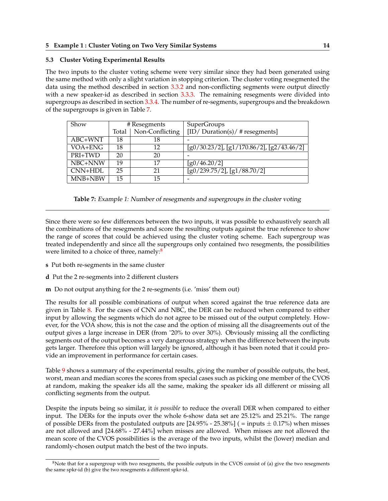# <span id="page-17-0"></span>**5.3 Cluster Voting Experimental Results**

The two inputs to the cluster voting scheme were very similar since they had been generated using the same method with only a slight variation in stopping criterion. The cluster voting resegmented the data using the method described in section [3.3.2](#page-11-0) and non-conflicting segments were output directly with a new speaker-id as described in section [3.3.3.](#page-12-0) The remaining resegments were divided into supergroups as described in section [3.3.4.](#page-12-0) The number of re-segments, supergroups and the breakdown of the supergroups is given in Table 7.

| Show           |       | # Resegments    | <b>SuperGroups</b>                                |
|----------------|-------|-----------------|---------------------------------------------------|
|                | Total | Non-Conflicting | [ID/Duration(s)/#resegments]                      |
| ABC+WNT        | 18    | 18              |                                                   |
| VOA+ENG        | 18    | 12              | $[g0/30.23/2]$ , $[g1/170.86/2]$ , $[g2/43.46/2]$ |
| PRI+TWD        | 20    | 20              |                                                   |
| NBC+NNW        | 19    | 17              | [g0/46.20/2]                                      |
| <b>CNN+HDL</b> | 25    | 21              | $[g0/239.75/2]$ , $[g1/88.70/2]$                  |
| MNB+NBW        | 15    | 15              |                                                   |

**Table 7:** Example 1: Number of resegments and supergroups in the cluster voting

Since there were so few differences between the two inputs, it was possible to exhaustively search all the combinations of the resegments and score the resulting outputs against the true reference to show the range of scores that could be achieved using the cluster voting scheme. Each supergroup was treated independently and since all the supergroups only contained two resegments, the possibilities were limited to a choice of three, namely:<sup>8</sup>

- **s** Put both re-segments in the same cluster
- **d** Put the 2 re-segments into 2 different clusters
- **m** Do not output anything for the 2 re-segments (i.e. 'miss' them out)

The results for all possible combinations of output when scored against the true reference data are given in Table [8.](#page-18-0) For the cases of CNN and NBC, the DER can be reduced when compared to either input by allowing the segments which do not agree to be missed out of the output completely. However, for the VOA show, this is not the case and the option of missing all the disagreements out of the output gives a large increase in DER (from ˜20% to over 30%). Obviously missing all the conflicting segments out of the output becomes a very dangerous strategy when the difference between the inputs gets larger. Therefore this option will largely be ignored, although it has been noted that it could provide an improvement in performance for certain cases.

Table [9](#page-18-0) shows a summary of the experimental results, giving the number of possible outputs, the best, worst, mean and median scores the scores from special cases such as picking one member of the CVOS at random, making the speaker ids all the same, making the speaker ids all different or missing all conflicting segments from the output.

Despite the inputs being so similar, it *is possible* to reduce the overall DER when compared to either input. The DERs for the inputs over the whole 6-show data set are 25.12% and 25.21%. The range of possible DERs from the postulated outputs are  $[24.95\% - 25.38\%]$  (= inputs  $\pm$  0.17%) when misses are not allowed and [24.68% - 27.44%] when misses are allowed. When misses are not allowed the mean score of the CVOS possibilities is the average of the two inputs, whilst the (lower) median and randomly-chosen output match the best of the two inputs.

 $8$ Note that for a supergroup with two resegments, the possible outputs in the CVOS consist of (a) give the two resegments the same spkr-id (b) give the two resegments a different spkr-id.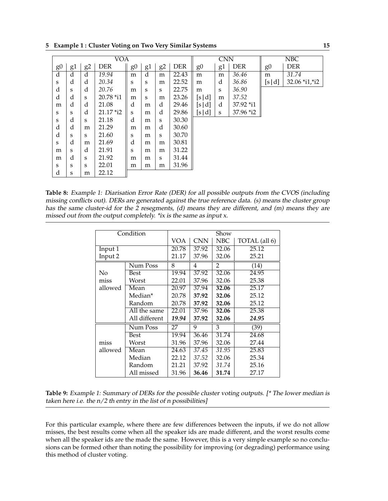<span id="page-18-0"></span>**5 Example 1 : Cluster Voting on Two Very Similar Systems 15**

|                | <b>VOA</b> |                |            |                |    |    |            |                | <b>CNN</b> |            |                | <b>NBC</b>     |
|----------------|------------|----------------|------------|----------------|----|----|------------|----------------|------------|------------|----------------|----------------|
| g <sub>0</sub> | g1         | g <sub>2</sub> | <b>DER</b> | g <sub>0</sub> | g1 | g2 | <b>DER</b> | g <sub>0</sub> | g1         | <b>DER</b> | g <sub>0</sub> | <b>DER</b>     |
| d              | d          | d              | 19.94      | m              | d  | m  | 22.43      | m              | m          | 36.46      | m              | 31.74          |
| S              | d          | d              | 20.34      | S              | S  | m  | 22.52      | m              | d          | 36.86      | [s d]          | 32.06 *i1, *i2 |
| d              | S          | d              | 20.76      | m              | S  | S  | 22.75      | m              | S          | 36.90      |                |                |
| d              | d          | S              | 20.78 *i1  | m              | S  | m  | 23.26      | [s d]          | m          | 37.52      |                |                |
| m              | d          | d              | 21.08      | d              | m  | d  | 29.46      | [s <br> d      | d          | 37.92 *i1  |                |                |
| S              | S          | d              | 21.17 *i2  | S              | m  | d  | 29.86      | [s d]          | S          | 37.96 *i2  |                |                |
| S              | d          | S              | 21.18      | d              | m  | S  | 30.30      |                |            |            |                |                |
| d              | d          | m              | 21.29      | m              | m  | d  | 30.60      |                |            |            |                |                |
| d              | S          | S              | 21.60      | S              | m  | S  | 30.70      |                |            |            |                |                |
| S              | d          | m              | 21.69      | d              | m  | m  | 30.81      |                |            |            |                |                |
| m              | S          | d              | 21.91      | S              | m  | m  | 31.22      |                |            |            |                |                |
| m              | d          | S              | 21.92      | m              | m  | S  | 31.44      |                |            |            |                |                |
| S              | S          | S              | 22.01      | m              | m  | m  | 31.96      |                |            |            |                |                |
| d              | S          | m              | 22.12      |                |    |    |            |                |            |            |                |                |

**Table 8:** Example 1: Diarisation Error Rate (DER) for all possible outputs from the CVOS (including missing conflicts out). DERs are generated against the true reference data. (s) means the cluster group has the same cluster-id for the <sup>2</sup> resegments, (d) means they are different, and (m) means they are missed out from the output completely. \*ix is the same as input x.

|         | Condition     | Show  |            |                |               |  |  |
|---------|---------------|-------|------------|----------------|---------------|--|--|
|         |               | VOA   | <b>CNN</b> | <b>NBC</b>     | TOTAL (all 6) |  |  |
| Input 1 |               | 20.78 | 37.92      | 32.06          | 25.12         |  |  |
| Input 2 |               | 21.17 | 37.96      | 32.06          | 25.21         |  |  |
|         | Num Poss      | 8     | 4          | $\overline{2}$ | (14)          |  |  |
| No      | Best          | 19.94 | 37.92      | 32.06          | 24.95         |  |  |
| miss    | Worst         | 22.01 | 37.96      | 32.06          | 25.38         |  |  |
| allowed | Mean          | 20.97 | 37.94      | 32.06          | 25.17         |  |  |
|         | Median*       | 20.78 | 37.92      | 32.06          | 25.12         |  |  |
|         | Random        | 20.78 | 37.92      | 32.06          | 25.12         |  |  |
|         | All the same  | 22.01 | 37.96      | 32.06          | 25.38         |  |  |
|         | All different | 19.94 | 37.92      | 32.06          | 24.95         |  |  |
|         | Num Poss      | 27    | 9          | 3              | (39)          |  |  |
|         | Best          | 19.94 | 36.46      | 31.74          | 24.68         |  |  |
| miss    | Worst         | 31.96 | 37.96      | 32.06          | 27.44         |  |  |
| allowed | Mean          | 24.63 | 37.45      | 31.95          | 25.83         |  |  |
|         | Median        | 22.12 | 37.52      | 32.06          | 25.34         |  |  |
|         | Random        | 21.21 | 37.92      | 31.74          | 25.16         |  |  |
|         | All missed    | 31.96 | 36.46      | 31.74          | 27.17         |  |  |

**Table 9:** Example 1: Summary of DERs for the possible cluster voting outputs. [\* The lower median is taken here i.e. the  $n/2$  th entry in the list of n possibilities]

For this particular example, where there are few differences between the inputs, if we do not allow misses, the best results come when all the speaker ids are made different, and the worst results come when all the speaker ids are the made the same. However, this is a very simple example so no conclusions can be formed other than noting the possibility for improving (or degrading) performance using this method of cluster voting.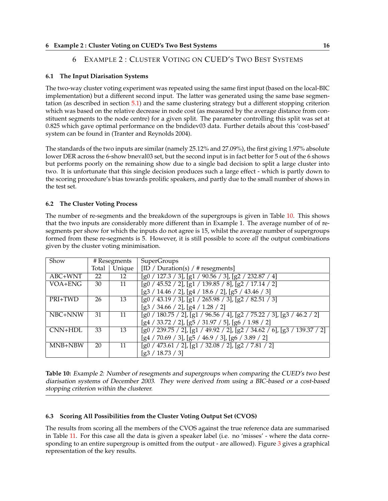# 6 EXAMPLE 2 : CLUSTER VOTING ON CUED'S TWO BEST SYSTEMS

# <span id="page-19-0"></span>**6.1 The Input Diarisation Systems**

The two-way cluster voting experiment was repeated using the same first input (based on the local-BIC implementation) but a different second input. The latter was generated using the same base segmentation (as described in section [5.1\)](#page-16-0) and the same clustering strategy but a different stopping criterion which was based on the relative decrease in node cost (as measured by the average distance from constituent segments to the node centre) for a given split. The parameter controlling this split was set at 0.825 which gave optimal performance on the bndidev03 data. Further details about this 'cost-based' system can be found in (Tranter and Reynolds 2004).

The standards of the two inputs are similar (namely 25.12% and 27.09%), the first giving 1.97% absolute lower DER across the 6-show bneval03 set, but the second input is in fact better for 5 out of the 6 shows but performs poorly on the remaining show due to a single bad decision to split a large cluster into two. It is unfortunate that this single decision produces such a large effect - which is partly down to the scoring procedure's bias towards prolific speakers, and partly due to the small number of shows in the test set.

# **6.2 The Cluster Voting Process**

The number of re-segments and the breakdown of the supergroups is given in Table 10. This shows that the two inputs are considerably more different than in Example 1. The average number of of resegments per show for which the inputs do not agree is 15, whilst the average number of supergroups formed from these re-segments is 5. However, it is still possible to score *all* the output combinations given by the cluster voting minimisation.

| Show      |       | # Resegments | <b>SuperGroups</b>                                                                     |
|-----------|-------|--------------|----------------------------------------------------------------------------------------|
|           | Total | Unique       | [ID / Duration(s) / # researchers]                                                     |
| ABC+WNT   | 22    | 12           | $[g0 / 127.3 / 3]$ , $[g1 / 90.56 / 3]$ , $[g2 / 232.87 / 4]$                          |
| VOA+ENG   | 30    | 11           | $[g0/45.52/2]$ , $[g1/139.85/8]$ , $[g2/17.14/2]$                                      |
|           |       |              | $[g3 / 14.46 / 2]$ , $[g4 / 18.6 / 2]$ , $[g5 / 43.46 / 3]$                            |
| PRI+TWD   | 26    | 13           | $[g0 / 43.19 / 3]$ , $[g1 / 265.98 / 3]$ , $[g2 / 82.51 / 3]$                          |
|           |       |              | $[g3 / 34.66 / 2]$ , $[g4 / 1.28 / 2]$                                                 |
| NBC+NNW   | 31    | 11           | $[g0 / 180.75 / 2]$ , $[g1 / 96.56 / 4]$ , $[g2 / 75.22 / 3]$ , $[g3 / 46.2 / 2]$      |
|           |       |              | $[g4 / 33.72 / 2]$ , $[g5 / 31.97 / 5]$ , $[g6 / 1.98 / 2]$                            |
| $CNN+HDL$ | 33    | 13           | $\frac{1}{2}$ [g0 / 239.75 / 2], [g1 / 49.92 / 2], [g2 / 34.62 / 6], [g3 / 139.37 / 2] |
|           |       |              | $[g4 / 70.69 / 3]$ , $[g5 / 46.9 / 3]$ , $[g6 / 3.89 / 2]$                             |
| MNB+NBW   | 20    | 11           | $[g0 / 473.61 / 2]$ , $[g1 / 32.08 / 2]$ , $[g2 / 7.81 / 2]$                           |
|           |       |              | [g3 / 18.73 / 3]                                                                       |

**Table 10:** Example 2: Number of resegments and supergroups when comparing the CUED's two best diarisation systems of December 2003. They were derived from using <sup>a</sup> BIC-based or <sup>a</sup> cost-based stopping criterion within the clusterer.

# **6.3 Scoring All Possibilities from the Cluster Voting Output Set (CVOS)**

The results from scoring all the members of the CVOS against the true reference data are summarised in Table [11.](#page-20-0) For this case all the data is given a speaker label (i.e. no 'misses' - where the data corresponding to an entire supergroup is omitted from the output - are allowed). Figure [3](#page-20-0) gives a graphical representation of the key results.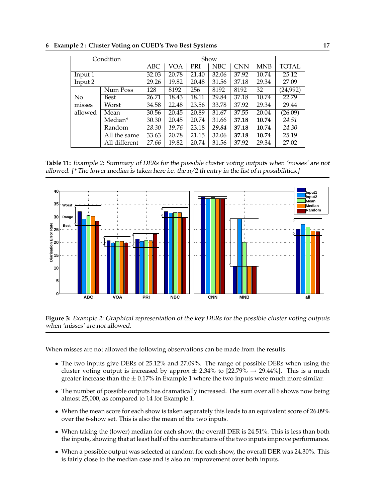|         | Condition     |       |       |            | Show  |            |            |              |
|---------|---------------|-------|-------|------------|-------|------------|------------|--------------|
|         |               | ABC   | VOA   | <b>PRI</b> | NBC   | <b>CNN</b> | <b>MNB</b> | <b>TOTAL</b> |
| Input 1 |               | 32.03 | 20.78 | 21.40      | 32.06 | 37.92      | 10.74      | 25.12        |
| Input 2 |               | 29.26 | 19.82 | 20.48      | 31.56 | 37.18      | 29.34      | 27.09        |
|         | Num Poss      | 128   | 8192  | 256        | 8192  | 8192       | 32         | (24, 992)    |
| No      | Best          | 26.71 | 18.43 | 18.11      | 29.84 | 37.18      | 10.74      | 22.79        |
| misses  | Worst         | 34.58 | 22.48 | 23.56      | 33.78 | 37.92      | 29.34      | 29.44        |
| allowed | Mean          | 30.56 | 20.45 | 20.89      | 31.67 | 37.55      | 20.04      | (26.09)      |
|         | Median*       | 30.30 | 20.45 | 20.74      | 31.66 | 37.18      | 10.74      | 24.51        |
|         | Random        | 28.30 | 19.76 | 23.18      | 29.84 | 37.18      | 10.74      | 24.30        |
|         | All the same  | 33.63 | 20.78 | 21.15      | 32.06 | 37.18      | 10.74      | 25.19        |
|         | All different | 27.66 | 19.82 | 20.74      | 31.56 | 37.92      | 29.34      | 27.02        |

<span id="page-20-0"></span>**6 Example 2 : Cluster Voting on CUED's Two Best Systems 17**

**Table 11:** Example 2: Summary of DERs for the possible cluster voting outputs when 'misses' are not allowed. [ $*$  The lower median is taken here i.e. the  $n/2$  th entry in the list of n possibilities.]



**Figure 3:** Example 2: Graphical representation of the key DERs for the possible cluster voting outputs when 'misses' are not allowed.

When misses are not allowed the following observations can be made from the results.

- The two inputs give DERs of 25.12% and 27.09%. The range of possible DERs when using the cluster voting output is increased by approx  $\pm$  2.34% to [22.79%  $\rightarrow$  29.44%]. This is a much greater increase than the  $\pm$  0.17% in Example 1 where the two inputs were much more similar.
- The number of possible outputs has dramatically increased. The sum over all 6 shows now being almost 25,000, as compared to 14 for Example 1.
- When the mean score for each show is taken separately this leads to an equivalent score of 26.09% over the 6-show set. This is also the mean of the two inputs.
- When taking the (lower) median for each show, the overall DER is 24.51%. This is less than both the inputs, showing that at least half of the combinations of the two inputs improve performance.
- When a possible output was selected at random for each show, the overall DER was 24.30%. This is fairly close to the median case and is also an improvement over both inputs.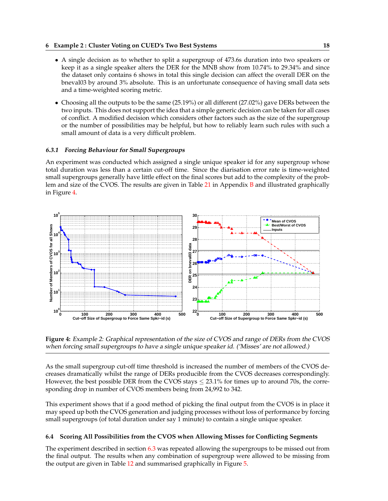### <span id="page-21-0"></span>**6 Example 2 : Cluster Voting on CUED's Two Best Systems 18**

- A single decision as to whether to split a supergroup of 473.6s duration into two speakers or keep it as a single speaker alters the DER for the MNB show from 10.74% to 29.34% and since the dataset only contains 6 shows in total this single decision can affect the overall DER on the bneval03 by around 3% absolute. This is an unfortunate consequence of having small data sets and a time-weighted scoring metric.
- Choosing all the outputs to be the same (25.19%) or all different (27.02%) gave DERs between the two inputs. This does not support the idea that a simple generic decision can be taken for all cases of conflict. A modified decision which considers other factors such as the size of the supergroup or the number of possibilities may be helpful, but how to reliably learn such rules with such a small amount of data is a very difficult problem.

# **6.3.1 Forcing Behaviour for Small Supergroups**

An experiment was conducted which assigned a single unique speaker id for any supergroup whose total duration was less than a certain cut-off time. Since the diarisation error rate is time-weighted small supergroups generally have little effect on the final scores but add to the complexity of the prob-lem and size of the CVOS. The results are given in Table [21](#page-33-0) in Appendix [B](#page-31-0) and illustrated graphically in Figure 4.



**Figure 4:** Example 2: Graphical representation of the size of CVOS and range of DERs from the CVOS when forcing small supergroups to have <sup>a</sup> single unique speaker id. ('Misses' are not allowed.)

As the small supergroup cut-off time threshold is increased the number of members of the CVOS decreases dramatically whilst the range of DERs producible from the CVOS decreases correspondingly. However, the best possible DER from the CVOS stays  $\leq$  23.1% for times up to around 70s, the corresponding drop in number of CVOS members being from 24,992 to 342.

This experiment shows that if a good method of picking the final output from the CVOS is in place it may speed up both the CVOS generation and judging processes without loss of performance by forcing small supergroups (of total duration under say 1 minute) to contain a single unique speaker.

# **6.4 Scoring All Possibilities from the CVOS when Allowing Misses for Conflicting Segments**

The experiment described in section [6.3](#page-19-0) was repeated allowing the supergroups to be missed out from the final output. The results when any combination of supergroup were allowed to be missing from the output are given in Table [12](#page-22-0) and summarised graphically in Figure [5.](#page-22-0)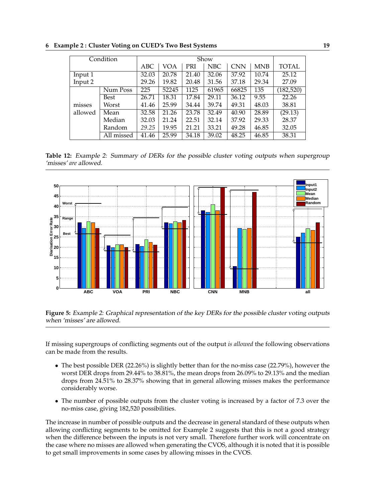|         | Condition  |       |       |       | Show       |                    |       |            |
|---------|------------|-------|-------|-------|------------|--------------------|-------|------------|
|         |            | ABC   | VOA   | PRI   | <b>NBC</b> | <b>CNN</b>         | MNB   | TOTAL      |
| Input 1 |            | 32.03 | 20.78 | 21.40 | 32.06      | 37.92              | 10.74 | 25.12      |
| Input 2 |            | 29.26 | 19.82 | 20.48 | 31.56      | 37.18              | 29.34 | 27.09      |
|         | Num Poss   | 225   | 52245 | 1125  | 61965      | 66825              | 135   | (182, 520) |
|         | Best       | 26.71 | 18.31 | 17.84 | 29.11      | 36.12              | 9.55  | 22.26      |
| misses  | Worst      | 41.46 | 25.99 | 34.44 | 39.74      | 49.31              | 48.03 | 38.81      |
| allowed | Mean       | 32.58 | 21.26 | 23.78 | 32.49      | $\overline{40.90}$ | 28.89 | (29.13)    |
|         | Median     | 32.03 | 21.24 | 22.51 | 32.14      | 37.92              | 29.33 | 28.37      |
|         | Random     | 29.25 | 19.95 | 21.21 | 33.21      | 49.28              | 46.85 | 32.05      |
|         | All missed | 41.46 | 25.99 | 34.18 | 39.02      | 48.25              | 46.85 | 38.31      |

<span id="page-22-0"></span>**6 Example 2 : Cluster Voting on CUED's Two Best Systems 19**

**Table 12:** Example 2: Summary of DERs for the possible cluster voting outputs when supergroup 'misses' *are* allowed.



**Figure 5:** Example 2: Graphical representation of the key DERs for the possible cluster voting outputs when 'misses' are allowed.

If missing supergroups of conflicting segments out of the output *is allowed* the following observations can be made from the results.

- The best possible DER (22.26%) is slightly better than for the no-miss case (22.79%), however the worst DER drops from 29.44% to 38.81%, the mean drops from 26.09% to 29.13% and the median drops from 24.51% to 28.37% showing that in general allowing misses makes the performance considerably worse.
- The number of possible outputs from the cluster voting is increased by a factor of 7.3 over the no-miss case, giving 182,520 possibilities.

The increase in number of possible outputs and the decrease in general standard of these outputs when allowing conflicting segments to be omitted for Example 2 suggests that this is not a good strategy when the difference between the inputs is not very small. Therefore further work will concentrate on the case where no misses are allowed when generating the CVOS, although it is noted that it is possible to get small improvements in some cases by allowing misses in the CVOS.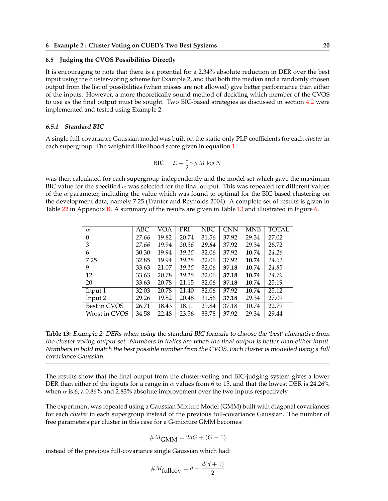#### <span id="page-23-0"></span>**6.5 Judging the CVOS Possibilities Directly**

It is encouraging to note that there is a potential for a 2.34% absolute reduction in DER over the best input using the cluster-voting scheme for Example 2, and that both the median and a randomly chosen output from the list of possibilities (when misses are not allowed) give better performance than either of the inputs. However, a more theoretically sound method of deciding which member of the CVOS to use as the final output must be sought. Two BIC-based strategies as discussed in section [4.2](#page-14-0) were implemented and tested using Example 2.

#### **6.5.1 Standard BIC**

A single full-covariance Gaussian model was built on the static-only PLP coefficients for each *cluster* in each supergroup. The weighted likelihood score given in equation [1:](#page-14-0)

$$
BIC = \mathcal{L} - \frac{1}{2}\alpha \# M \log N
$$

was then calculated for each supergroup independently and the model set which gave the maximum BIC value for the specified  $\alpha$  was selected for the final output. This was repeated for different values of the  $\alpha$  parameter, including the value which was found to optimal for the BIC-based clustering on the development data, namely 7.25 (Tranter and Reynolds 2004). A complete set of results is given in Table [22](#page-34-0) in Appendix [B.](#page-31-0) A summary of the results are given in Table 13 and illustrated in Figure [6.](#page-24-0)

| $\alpha$       | ABC   | VOA   | PRI   | NBC   | <b>CNN</b> | <b>MNB</b> | TOTAL |
|----------------|-------|-------|-------|-------|------------|------------|-------|
| $\overline{0}$ | 27.66 | 19.82 | 20.74 | 31.56 | 37.92      | 29.34      | 27.02 |
| 3              | 27.66 | 19.94 | 20.36 | 29.84 | 37.92      | 29.34      | 26.72 |
| 6              | 30.30 | 19.94 | 19.15 | 32.06 | 37.92      | 10.74      | 24.26 |
| 7.25           | 32.85 | 19.94 | 19.15 | 32.06 | 37.92      | 10.74      | 24.62 |
| 9              | 33.63 | 21.07 | 19.15 | 32.06 | 37.18      | 10.74      | 24.85 |
| 12             | 33.63 | 20.78 | 19.15 | 32.06 | 37.18      | 10.74      | 24.79 |
| 20             | 33.63 | 20.78 | 21.15 | 32.06 | 37.18      | 10.74      | 25.19 |
| Input 1        | 32.03 | 20.78 | 21.40 | 32.06 | 37.92      | 10.74      | 25.12 |
| Input 2        | 29.26 | 19.82 | 20.48 | 31.56 | 37.18      | 29.34      | 27.09 |
| Best in CVOS   | 26.71 | 18.43 | 18.11 | 29.84 | 37.18      | 10.74      | 22.79 |
| Worst in CVOS  | 34.58 | 22.48 | 23.56 | 33.78 | 37.92      | 29.34      | 29.44 |

**Table 13:** Example 2: DERs when using the standard BIC formula to choose the 'best' alternative from the cluster voting output set. Numbers in italics are when the final output is better than either input. Numbers in bold match the best possible number from the CVOS. Each cluster is modelled using <sup>a</sup> full covariance Gaussian.

The results show that the final output from the cluster-voting and BIC-judging system gives a lower DER than either of the inputs for a range in  $\alpha$  values from 6 to 15, and that the lowest DER is 24.26% when  $\alpha$  is 6, a 0.86% and 2.83% absolute improvement over the two inputs respectively.

The experiment was repeated using a Gaussian Mixture Model (GMM) built with diagonal covariances for each *cluster* in each supergroup instead of the previous full-covariance Gaussian. The number of free parameters per cluster in this case for a G-mixture GMM becomes:

$$
\#M_{\text{GMM}} = 2dG + (G-1)
$$

instead of the previous full-covariance single Gaussian which had:

$$
\#M_{\text{fullcov}} = d + \frac{d(d+1)}{2}
$$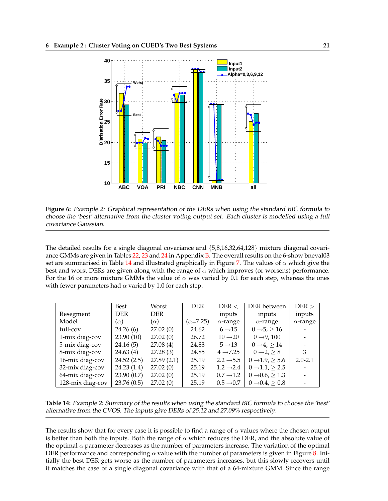<span id="page-24-0"></span>

**Figure 6:** Example 2: Graphical representation of the DERs when using the standard BIC formula to choose the 'best' alternative from the cluster voting output set. Each cluster is modelled using <sup>a</sup> full covariance Gaussian.

The detailed results for a single diagonal covariance and {5,8,16,32,64,128} mixture diagonal covari-ance GMMs are given in Tables [22,](#page-34-0) [23](#page-35-0) and [24](#page-36-0) in Appendix [B.](#page-31-0) The overall results on the 6-show bneval03 set are summarised in Table 14 and illustrated graphically in Figure [7.](#page-25-0) The values of  $\alpha$  which give the best and worst DERs are given along with the range of  $\alpha$  which improves (or worsens) performance. For the 16 or more mixture GMMs the value of  $\alpha$  was varied by 0.1 for each step, whereas the ones with fewer parameters had  $\alpha$  varied by 1.0 for each step.

|                  | Best       | Worst                  | <b>DER</b>        | DER <                 | DER between                   | $DER$ >         |
|------------------|------------|------------------------|-------------------|-----------------------|-------------------------------|-----------------|
| Resegment        | <b>DER</b> | <b>DER</b>             |                   | inputs                | inputs                        | inputs          |
| Model            | $(\alpha)$ | $(\alpha)$             | $(\alpha = 7.25)$ | $\alpha$ -range       | $\alpha$ -range               | $\alpha$ -range |
| full-cov         | 24.26(6)   | $\overline{27.02}$ (0) | 24.62             | $6 \rightarrow 15$    | $0 \rightarrow 5$ , $> 16$    |                 |
| 1-mix diag-cov   | 23.90(10)  | 27.02(0)               | 26.72             | $10 \rightarrow 20$   | $0 \rightarrow 9, 100$        |                 |
| 5-mix diag-cov   | 24.16(5)   | 27.08(4)               | 24.83             | $5 \rightarrow 13$    | $0 \rightarrow 4 > 14$        |                 |
| 8-mix diag-cov   | 24.63(4)   | 27.28(3)               | 24.85             | $4 \rightarrow 7.25$  | $0 \rightarrow 2 > 8$         | 3               |
| 16-mix diag-cov  | 24.52(2.5) | 27.89(2.1)             | 25.19             | $2.2 \rightarrow 5.5$ | $0 \rightarrow 1.9$ , $> 5.6$ | $2.0 - 2.1$     |
| 32-mix diag-cov  | 24.23(1.4) | 27.02(0)               | 25.19             | $1.2 \rightarrow 2.4$ | $0 \rightarrow 1.1 > 2.5$     |                 |
| 64-mix diag-cov  | 23.90(0.7) | 27.02(0)               | 25.19             | $0.7 \rightarrow 1.2$ | $0 \rightarrow 0.6, \ge 1.3$  |                 |
| 128-mix diag-cov | 23.76(0.5) | 27.02(0)               | 25.19             | $0.5 \rightarrow 0.7$ | $0 \rightarrow 0.4, \geq 0.8$ |                 |

**Table 14:** Example 2: Summary of the results when using the standard BIC formula to choose the 'best' alternative from the CVOS. The inputs give DERs of 25.12 and 27.09% respectively.

The results show that for every case it is possible to find a range of  $\alpha$  values where the chosen output is better than both the inputs. Both the range of  $\alpha$  which reduces the DER, and the absolute value of the optimal  $\alpha$  parameter decreases as the number of parameters increase. The variation of the optimal DER performance and corresponding  $\alpha$  value with the number of parameters is given in Figure [8.](#page-25-0) Initially the best DER gets worse as the number of parameters increases, but this slowly recovers until it matches the case of a single diagonal covariance with that of a 64-mixture GMM. Since the range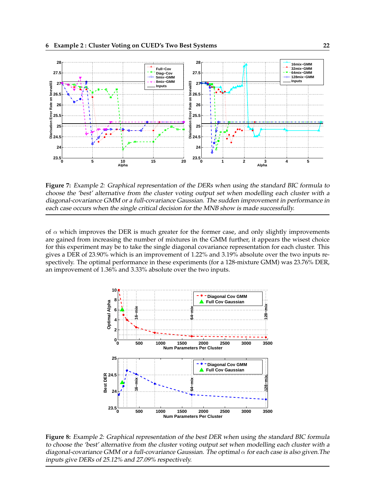<span id="page-25-0"></span>

**Figure 7:** Example 2: Graphical representation of the DERs when using the standard BIC formula to choose the 'best' alternative from the cluster voting output set when modelling each cluster with <sup>a</sup> diagonal-covariance GMM or <sup>a</sup> full-covariance Gaussian. The sudden improvement in performance in each case occurs when the single critical decision for the MNB show is made successfully.

of  $\alpha$  which improves the DER is much greater for the former case, and only slightly improvements are gained from increasing the number of mixtures in the GMM further, it appears the wisest choice for this experiment may be to take the single diagonal covariance representation for each cluster. This gives a DER of 23.90% which is an improvement of 1.22% and 3.19% absolute over the two inputs respectively. The optimal performance in these experiments (for a 128-mixture GMM) was 23.76% DER, an improvement of 1.36% and 3.33% absolute over the two inputs.



**Figure 8:** Example 2: Graphical representation of the best DER when using the standard BIC formula to choose the 'best' alternative from the cluster voting output set when modelling each cluster with <sup>a</sup> diagonal-covariance GMM or a full-covariance Gaussian. The optimal  $\alpha$  for each case is also given. The inputs give DERs of 25.12% and 27.09% respectively.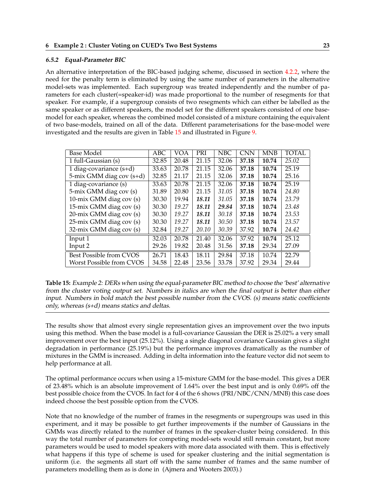#### <span id="page-26-0"></span>**6.5.2 Equal-Parameter BIC**

An alternative interpretation of the BIC-based judging scheme, discussed in section [4.2.2,](#page-15-0) where the need for the penalty term is eliminated by using the same number of parameters in the alternative model-sets was implemented. Each supergroup was treated independently and the number of parameters for each cluster(=speaker-id) was made proportional to the number of resegments for that speaker. For example, if a supergroup consists of two resegments which can either be labelled as the same speaker or as different speakers, the model set for the different speakers consisted of one basemodel for each speaker, whereas the combined model consisted of a mixture containing the equivalent of two base-models, trained on all of the data. Different parameterisations for the base-model were investigated and the results are given in Table 15 and illustrated in Figure [9.](#page-27-0)

| <b>Base Model</b>         | ABC   | VOA   | <b>PRI</b> | <b>NBC</b> | <b>CNN</b> | <b>MNB</b> | <b>TOTAL</b> |
|---------------------------|-------|-------|------------|------------|------------|------------|--------------|
| 1 full-Gaussian (s)       | 32.85 | 20.48 | 21.15      | 32.06      | 37.18      | 10.74      | 25.02        |
| 1 diag-covariance $(s+d)$ | 33.63 | 20.78 | 21.15      | 32.06      | 37.18      | 10.74      | 25.19        |
| 5-mix GMM diag cov (s+d)  | 32.85 | 21.17 | 21.15      | 32.06      | 37.18      | 10.74      | 25.16        |
| 1 diag-covariance (s)     | 33.63 | 20.78 | 21.15      | 32.06      | 37.18      | 10.74      | 25.19        |
| 5-mix GMM diag cov (s)    | 31.89 | 20.80 | 21.15      | 31.05      | 37.18      | 10.74      | 24.80        |
| 10-mix GMM diag cov (s)   | 30.30 | 19.94 | 18.11      | 31.05      | 37.18      | 10.74      | 23.79        |
| 15-mix GMM diag cov (s)   | 30.30 | 19.27 | 18.11      | 29.84      | 37.18      | 10.74      | 23.48        |
| 20-mix GMM diag cov (s)   | 30.30 | 19.27 | 18.11      | 30.18      | 37.18      | 10.74      | 23.53        |
| 25-mix GMM diag cov (s)   | 30.30 | 19.27 | 18.11      | 30.50      | 37.18      | 10.74      | 23.57        |
| 32-mix GMM diag cov (s)   | 32.84 | 19.27 | 20.10      | 30.39      | 37.92      | 10.74      | 24.42        |
| Input 1                   | 32.03 | 20.78 | 21.40      | 32.06      | 37.92      | 10.74      | 25.12        |
| Input 2                   | 29.26 | 19.82 | 20.48      | 31.56      | 37.18      | 29.34      | 27.09        |
| Best Possible from CVOS   | 26.71 | 18.43 | 18.11      | 29.84      | 37.18      | 10.74      | 22.79        |
| Worst Possible from CVOS  | 34.58 | 22.48 | 23.56      | 33.78      | 37.92      | 29.34      | 29.44        |

**Table 15:** Example 2: DERs when using the equal-parameter BIC method to choose the 'best' alternative from the cluster voting output set. Numbers in italics are when the final output is better than either input. Numbers in bold match the best possible number from the CVOS. (s) means static coefficients only, whereas (s+d) means statics and deltas.

The results show that almost every single representation gives an improvement over the two inputs using this method. When the base model is a full-covariance Gaussian the DER is 25.02% a very small improvement over the best input (25.12%). Using a single diagonal covariance Gaussian gives a slight degradation in performance (25.19%) but the performance improves dramatically as the number of mixtures in the GMM is increased. Adding in delta information into the feature vector did not seem to help performance at all.

The optimal performance occurs when using a 15-mixture GMM for the base-model. This gives a DER of 23.48% which is an absolute improvement of 1.64% over the best input and is only 0.69% off the best possible choice from the CVOS. In fact for 4 of the 6 shows (PRI/NBC/CNN/MNB) this case does indeed choose the best possible option from the CVOS.

Note that no knowledge of the number of frames in the resegments or supergroups was used in this experiment, and it may be possible to get further improvements if the number of Gaussians in the GMMs was directly related to the number of frames in the speaker-cluster being considered. In this way the total number of parameters for competing model-sets would still remain constant, but more parameters would be used to model speakers with more data associated with them. This is effectively what happens if this type of scheme is used for speaker clustering and the initial segmentation is uniform (i.e. the segments all start off with the same number of frames and the same number of parameters modelling them as is done in (Ajmera and Wooters 2003).)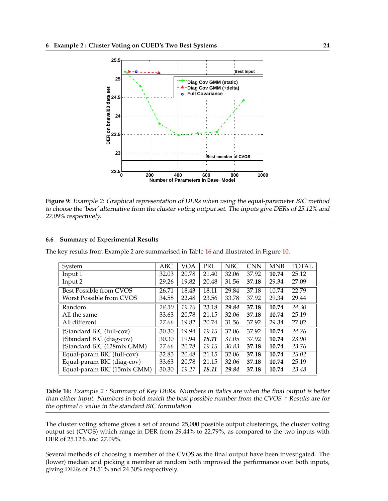<span id="page-27-0"></span>

**Figure 9:** Example 2: Graphical representation of DERs when using the equal-parameter BIC method to choose the 'best' alternative from the cluster voting output set. The inputs give DERs of 25.12% and 27.09% respectively.

### **6.6 Summary of Experimental Results**

The key results from Example 2 are summarised in Table 16 and illustrated in Figure [10.](#page-28-0)

| System                                   | ABC   | VOA   | PRI   | <b>NBC</b> | CNN   | <b>MNB</b> | <b>TOTAL</b> |
|------------------------------------------|-------|-------|-------|------------|-------|------------|--------------|
| Input 1                                  | 32.03 | 20.78 | 21.40 | 32.06      | 37.92 | 10.74      | 25.12        |
| Input 2                                  | 29.26 | 19.82 | 20.48 | 31.56      | 37.18 | 29.34      | 27.09        |
| Best Possible from CVOS                  | 26.71 | 18.43 | 18.11 | 29.84      | 37.18 | 10.74      | 22.79        |
| Worst Possible from CVOS                 | 34.58 | 22.48 | 23.56 | 33.78      | 37.92 | 29.34      | 29.44        |
| Random                                   | 28.30 | 19.76 | 23.18 | 29.84      | 37.18 | 10.74      | 24.30        |
| All the same                             | 33.63 | 20.78 | 21.15 | 32.06      | 37.18 | 10.74      | 25.19        |
| All different                            | 27.66 | 19.82 | 20.74 | 31.56      | 37.92 | 29.34      | 27.02        |
| †Standard BIC (full-cov)                 | 30.30 | 19.94 | 19.15 | 32.06      | 37.92 | 10.74      | 24.26        |
| †Standard BIC (diag-cov)                 | 30.30 | 19.94 | 18.11 | 31.05      | 37.92 | 10.74      | 23.90        |
| <i><b>†Standard BIC (128mix GMM)</b></i> | 27.66 | 20.78 | 19.15 | 30.83      | 37.18 | 10.74      | 23.76        |
| Equal-param BIC (full-cov)               | 32.85 | 20.48 | 21.15 | 32.06      | 37.18 | 10.74      | 25.02        |
| Equal-param BIC (diag-cov)               | 33.63 | 20.78 | 21.15 | 32.06      | 37.18 | 10.74      | 25.19        |
| Equal-param BIC (15mix GMM)              | 30.30 | 19.27 | 18.11 | 29.84      | 37.18 | 10.74      | 23.48        |

**Table 16:** Example <sup>2</sup> : Summary of Key DERs. Numbers in italics are when the final output is better than either input. Numbers in bold match the best possible number from the CVOS. † Results are for the optimal  $\alpha$  value in the standard BIC formulation.

The cluster voting scheme gives a set of around 25,000 possible output clusterings, the cluster voting output set (CVOS) which range in DER from 29.44% to 22.79%, as compared to the two inputs with DER of 25.12% and 27.09%.

Several methods of choosing a member of the CVOS as the final output have been investigated. The (lower) median and picking a member at random both improved the performance over both inputs, giving DERs of 24.51% and 24.30% respectively.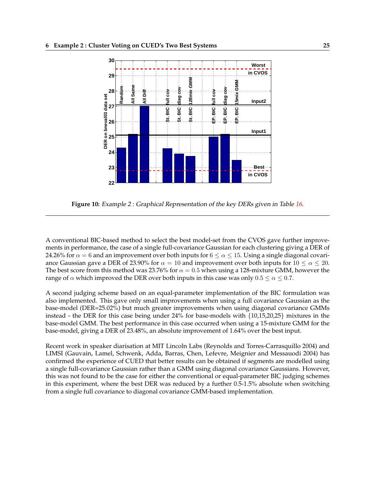<span id="page-28-0"></span>

**Figure 10:** Example <sup>2</sup> : Graphical Representation of the key DERs given in Table [16.](#page-27-0)

A conventional BIC-based method to select the best model-set from the CVOS gave further improvements in performance, the case of a single full-covariance Gaussian for each clustering giving a DER of 24.26% for  $\alpha = 6$  and an improvement over both inputs for  $6 \le \alpha \le 15$ . Using a single diagonal covariance Gaussian gave a DER of 23.90% for  $\alpha = 10$  and improvement over both inputs for  $10 \le \alpha \le 20$ . The best score from this method was 23.76% for  $\alpha = 0.5$  when using a 128-mixture GMM, however the range of  $\alpha$  which improved the DER over both inputs in this case was only  $0.5 \le \alpha \le 0.7$ .

A second judging scheme based on an equal-parameter implementation of the BIC formulation was also implemented. This gave only small improvements when using a full covariance Gaussian as the base-model (DER=25.02%) but much greater improvements when using diagonal covariance GMMs instead - the DER for this case being under 24% for base-models with {10,15,20,25} mixtures in the base-model GMM. The best performance in this case occurred when using a 15-mixture GMM for the base-model, giving a DER of 23.48%, an absolute improvement of 1.64% over the best input.

Recent work in speaker diarisation at MIT Lincoln Labs (Reynolds and Torres-Carrasquillo 2004) and LIMSI (Gauvain, Lamel, Schwenk, Adda, Barras, Chen, Lefevre, Meignier and Messauodi 2004) has confirmed the experience of CUED that better results can be obtained if segments are modelled using a single full-covariance Gaussian rather than a GMM using diagonal covariance Gaussians. However, this was not found to be the case for either the conventional or equal-parameter BIC judging schemes in this experiment, where the best DER was reduced by a further 0.5-1.5% absolute when switching from a single full covariance to diagonal covariance GMM-based implementation.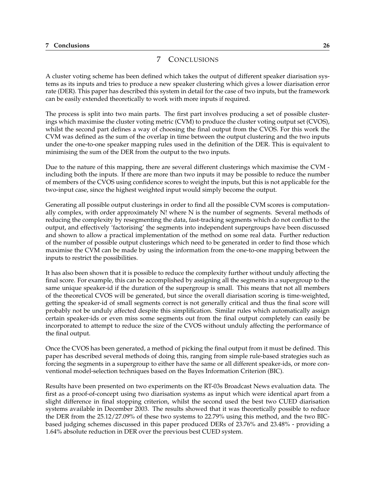### <span id="page-29-0"></span>**7 Conclusions 26**

# 7 CONCLUSIONS

A cluster voting scheme has been defined which takes the output of different speaker diarisation systems as its inputs and tries to produce a new speaker clustering which gives a lower diarisation error rate (DER). This paper has described this system in detail for the case of two inputs, but the framework can be easily extended theoretically to work with more inputs if required.

The process is split into two main parts. The first part involves producing a set of possible clusterings which maximise the cluster voting metric (CVM) to produce the cluster voting output set (CVOS), whilst the second part defines a way of choosing the final output from the CVOS. For this work the CVM was defined as the sum of the overlap in time between the output clustering and the two inputs under the one-to-one speaker mapping rules used in the definition of the DER. This is equivalent to minimising the sum of the DER from the output to the two inputs.

Due to the nature of this mapping, there are several different clusterings which maximise the CVM including both the inputs. If there are more than two inputs it may be possible to reduce the number of members of the CVOS using confidence scores to weight the inputs, but this is not applicable for the two-input case, since the highest weighted input would simply become the output.

Generating all possible output clusterings in order to find all the possible CVM scores is computationally complex, with order approximately N! where N is the number of segments. Several methods of reducing the complexity by resegmenting the data, fast-tracking segments which do not conflict to the output, and effectively 'factorising' the segments into independent supergroups have been discussed and shown to allow a practical implementation of the method on some real data. Further reduction of the number of possible output clusterings which need to be generated in order to find those which maximise the CVM can be made by using the information from the one-to-one mapping between the inputs to restrict the possibilities.

It has also been shown that it is possible to reduce the complexity further without unduly affecting the final score. For example, this can be accomplished by assigning all the segments in a supergroup to the same unique speaker-id if the duration of the supergroup is small. This means that not all members of the theoretical CVOS will be generated, but since the overall diarisation scoring is time-weighted, getting the speaker-id of small segments correct is not generally critical and thus the final score will probably not be unduly affected despite this simplification. Similar rules which automatically assign certain speaker-ids or even miss some segments out from the final output completely can easily be incorporated to attempt to reduce the size of the CVOS without unduly affecting the performance of the final output.

Once the CVOS has been generated, a method of picking the final output from it must be defined. This paper has described several methods of doing this, ranging from simple rule-based strategies such as forcing the segments in a supergroup to either have the same or all different speaker-ids, or more conventional model-selection techniques based on the Bayes Information Criterion (BIC).

Results have been presented on two experiments on the RT-03s Broadcast News evaluation data. The first as a proof-of-concept using two diarisation systems as input which were identical apart from a slight difference in final stopping criterion, whilst the second used the best two CUED diarisation systems available in December 2003. The results showed that it was theoretically possible to reduce the DER from the 25.12/27.09% of these two systems to 22.79% using this method, and the two BICbased judging schemes discussed in this paper produced DERs of 23.76% and 23.48% - providing a 1.64% absolute reduction in DER over the previous best CUED system.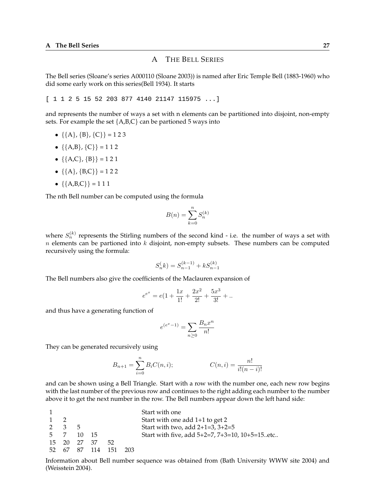# A THE BELL SERIES

<span id="page-30-0"></span>The Bell series (Sloane's series A000110 (Sloane 2003)) is named after Eric Temple Bell (1883-1960) who did some early work on this series(Bell 1934). It starts

[ 1 1 2 5 15 52 203 877 4140 21147 115975 ...]

and represents the number of ways a set with n elements can be partitioned into disjoint, non-empty sets. For example the set  ${A, B, C}$  can be partioned 5 ways into

- $\{ \{A\}, \{B\}, \{C\} \} = 123$
- $\{\{A,B\},\{C\}\}=112$
- $\{A,C\}, \{B\}\}=121$
- $\{ \{ A \}, \{ B, C \} \} = 122$
- $\{A,B,C\} = 111$

The nth Bell number can be computed using the formula

$$
B(n) = \sum_{k=0}^{n} S_n^{(k)}
$$

where  $S_n^{(k)}$  represents the Stirling numbers of the second kind - i.e. the number of ways a set with  $n$  elements can be partioned into  $k$  disjoint, non-empty subsets. These numbers can be computed recursively using the formula:

$$
S_n^{\left(k\right)} = S_{n-1}^{\left(k-1\right)} + k S_{n-1}^{\left(k\right)}
$$

The Bell numbers also give the coefficients of the Maclauren expansion of

$$
e^{e^x} = e(1 + \frac{1x}{1!} + \frac{2x^2}{2!} + \frac{5x^3}{3!} + \dots
$$

and thus have a generating function of

$$
e^{(e^x - 1)} = \sum_{n \ge 0} \frac{B_n x^n}{n!}
$$

They can be generated recursively using

$$
B_{n+1} = \sum_{i=0}^{n} B_i C(n, i); \qquad C(n, i) = \frac{n!}{i!(n-i)!}
$$

and can be shown using a Bell Triangle. Start with a row with the number one, each new row begins with the last number of the previous row and continues to the right adding each number to the number above it to get the next number in the row. The Bell numbers appear down the left hand side:

|             |             |             |                      | Start with one                                 |
|-------------|-------------|-------------|----------------------|------------------------------------------------|
| $1 \quad 2$ |             |             |                      | Start with one add 1+1 to get 2                |
|             | $2 \t3 \t5$ |             |                      | Start with two, add $2+1=3$ , $3+2=5$          |
|             |             | 5 7 10 15   |                      | Start with five, add 5+2=7, 7+3=10, 10+5=15etc |
|             |             | 15 20 27 37 | 52                   |                                                |
|             |             |             | 52 67 87 114 151 203 |                                                |

Information about Bell number sequence was obtained from (Bath University WWW site 2004) and (Weisstein 2004).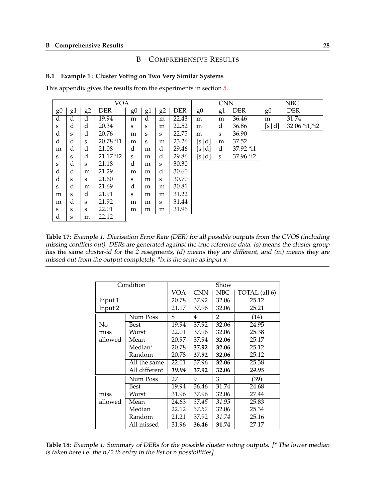### B COMPREHENSIVE RESULTS

### <span id="page-31-0"></span>**B.1 Example 1 : Cluster Voting on Two Very Similar Systems**

This appendix gives the results from the experiments in section [5.](#page-16-0)

|                | <b>VOA</b> |                |            |                |                         |                |            | <b>CNN</b>     |    |             | <b>NBC</b>     |                |  |
|----------------|------------|----------------|------------|----------------|-------------------------|----------------|------------|----------------|----|-------------|----------------|----------------|--|
| g <sub>0</sub> | g1         | g <sub>2</sub> | <b>DER</b> | g <sub>0</sub> | g1                      | g <sub>2</sub> | <b>DER</b> | g <sub>0</sub> | g1 | <b>DER</b>  | g <sub>0</sub> | <b>DER</b>     |  |
| $\overline{d}$ | d          | d              | 19.94      | m              | $\overline{\mathrm{d}}$ | m              | 22.43      | m              | m  | 36.46       | m              | 31.74          |  |
| S              | d          | d              | 20.34      | S              | S                       | m              | 22.52      | m              | d  | 36.86       | [s d]          | 32.06 *i1, *i2 |  |
| d              | S          | d              | 20.76      | m              | S                       | S              | 22.75      | m              | S  | 36.90       |                |                |  |
| d              | d          | S              | 20.78 *i1  | m              | S                       | m              | 23.26      | [s d]          | m  | 37.52       |                |                |  |
| m              | d          | d              | 21.08      | d              | m                       | d              | 29.46      | [s d]          | d  | 37.92 *i1   |                |                |  |
| S              | S          | d              | 21.17 *i2  | S              | m                       | d              | 29.86      | [s d]          | S  | $37.96$ *i2 |                |                |  |
| S              | d          | S              | 21.18      | d              | m                       | S              | 30.30      |                |    |             |                |                |  |
| d              | d          | m              | 21.29      | m              | m                       | d              | 30.60      |                |    |             |                |                |  |
| d              | S          | S              | 21.60      | S              | m                       | S              | 30.70      |                |    |             |                |                |  |
| S              | d          | m              | 21.69      | d              | m                       | m              | 30.81      |                |    |             |                |                |  |
| m              | S          | d              | 21.91      | S              | m                       | m              | 31.22      |                |    |             |                |                |  |
| m              | d          | S              | 21.92      | m              | m                       | S              | 31.44      |                |    |             |                |                |  |
| S              | S          | S              | 22.01      | m              | m                       | m              | 31.96      |                |    |             |                |                |  |
| d              | S          | m              | 22.12      |                |                         |                |            |                |    |             |                |                |  |

**Table 17:** Example 1: Diarisation Error Rate (DER) for all possible outputs from the CVOS (including missing conflicts out). DERs are generated against the true reference data. (s) means the cluster group has the same cluster-id for the 2 resegments, (d) means they are different, and (m) means they are missed out from the output completely. \*ix is the same as input x.

|         | Condition     |       |            | Show           |               |
|---------|---------------|-------|------------|----------------|---------------|
|         |               | VOA   | <b>CNN</b> | NBC            | TOTAL (all 6) |
| Input 1 |               | 20.78 | 37.92      | 32.06          | 25.12         |
| Input 2 |               | 21.17 | 37.96      | 32.06          | 25.21         |
|         | Num Poss      | 8     | 4          | $\overline{2}$ | (14)          |
| No      | Best          | 19.94 | 37.92      | 32.06          | 24.95         |
| miss    | Worst         | 22.01 | 37.96      | 32.06          | 25.38         |
| allowed | Mean          | 20.97 | 37.94      | 32.06          | 25.17         |
|         | Median*       | 20.78 | 37.92      | 32.06          | 25.12         |
|         | Random        | 20.78 | 37.92      | 32.06          | 25.12         |
|         | All the same  | 22.01 | 37.96      | 32.06          | 25.38         |
|         | All different | 19.94 | 37.92      | 32.06          | 24.95         |
|         | Num Poss      | 27    | 9          | 3              | (39)          |
|         | Best          | 19.94 | 36.46      | 31.74          | 24.68         |
| miss    | Worst         | 31.96 | 37.96      | 32.06          | 27.44         |
| allowed | Mean          | 24.63 | 37.45      | 31.95          | 25.83         |
|         | Median        | 22.12 | 37.52      | 32.06          | 25.34         |
|         | Random        | 21.21 | 37.92      | 31.74          | 25.16         |
|         | All missed    | 31.96 | 36.46      | 31.74          | 27.17         |

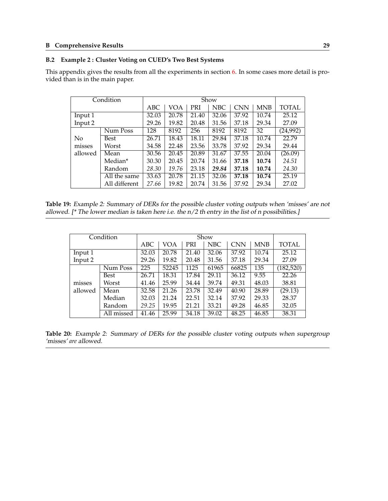### <span id="page-32-0"></span>**B.2 Example 2 : Cluster Voting on CUED's Two Best Systems**

This appendix gives the results from all the experiments in section [6.](#page-19-0) In some cases more detail is provided than is in the main paper.

|         | Condition     |       |       |       | Show       |            |       |              |
|---------|---------------|-------|-------|-------|------------|------------|-------|--------------|
|         |               | ABC   | VOA   | PRI   | <b>NBC</b> | <b>CNN</b> | MNB   | <b>TOTAL</b> |
| Input 1 |               | 32.03 | 20.78 | 21.40 | 32.06      | 37.92      | 10.74 | 25.12        |
| Input 2 |               | 29.26 | 19.82 | 20.48 | 31.56      | 37.18      | 29.34 | 27.09        |
|         | Num Poss      | 128   | 8192  | 256   | 8192       | 8192       | 32    | (24,992)     |
| No      | Best          | 26.71 | 18.43 | 18.11 | 29.84      | 37.18      | 10.74 | 22.79        |
| misses  | Worst         | 34.58 | 22.48 | 23.56 | 33.78      | 37.92      | 29.34 | 29.44        |
| allowed | Mean          | 30.56 | 20.45 | 20.89 | 31.67      | 37.55      | 20.04 | (26.09)      |
|         | Median*       | 30.30 | 20.45 | 20.74 | 31.66      | 37.18      | 10.74 | 24.51        |
|         | Random        | 28.30 | 19.76 | 23.18 | 29.84      | 37.18      | 10.74 | 24.30        |
|         | All the same  | 33.63 | 20.78 | 21.15 | 32.06      | 37.18      | 10.74 | 25.19        |
|         | All different | 27.66 | 19.82 | 20.74 | 31.56      | 37.92      | 29.34 | 27.02        |

**Table 19:** Example 2: Summary of DERs for the possible cluster voting outputs when 'misses' are not allowed. [\* The lower median is taken here i.e. the n/2 th entry in the list of n possibilities.]

|         | Condition  |       | Show  |            |       |            |            |            |  |  |  |
|---------|------------|-------|-------|------------|-------|------------|------------|------------|--|--|--|
|         |            | ABC   | VOA   | <b>PRI</b> | NBC   | <b>CNN</b> | <b>MNB</b> | TOTAL      |  |  |  |
| Input 1 |            | 32.03 | 20.78 | 21.40      | 32.06 | 37.92      | 10.74      | 25.12      |  |  |  |
| Input 2 |            | 29.26 | 19.82 | 20.48      | 31.56 | 37.18      | 29.34      | 27.09      |  |  |  |
|         | Num Poss   | 225   | 52245 | 1125       | 61965 | 66825      | 135        | (182, 520) |  |  |  |
|         | Best       | 26.71 | 18.31 | 17.84      | 29.11 | 36.12      | 9.55       | 22.26      |  |  |  |
| misses  | Worst      | 41.46 | 25.99 | 34.44      | 39.74 | 49.31      | 48.03      | 38.81      |  |  |  |
| allowed | Mean       | 32.58 | 21.26 | 23.78      | 32.49 | 40.90      | 28.89      | (29.13)    |  |  |  |
|         | Median     | 32.03 | 21.24 | 22.51      | 32.14 | 37.92      | 29.33      | 28.37      |  |  |  |
|         | Random     | 29.25 | 19.95 | 21.21      | 33.21 | 49.28      | 46.85      | 32.05      |  |  |  |
|         | All missed | 41.46 | 25.99 | 34.18      | 39.02 | 48.25      | 46.85      | 38.31      |  |  |  |

**Table 20:** Example 2: Summary of DERs for the possible cluster voting outputs when supergroup 'misses' *are* allowed.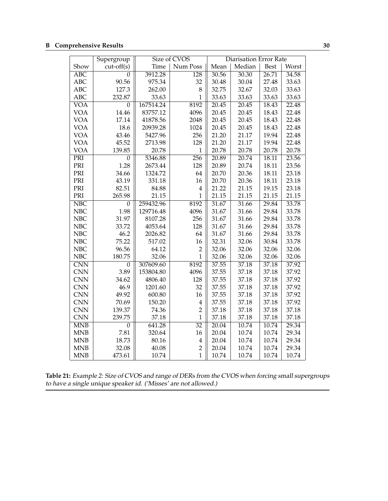<span id="page-33-0"></span>

|                         | Supergroup       |           | Size of CVOS     | <b>Diarisation Error Rate</b> |        |             |       |  |
|-------------------------|------------------|-----------|------------------|-------------------------------|--------|-------------|-------|--|
| Show                    | $cut-off(s)$     | Time      | Num Poss         | Mean                          | Median | <b>Best</b> | Worst |  |
| $\overline{ABC}$        | $\Omega$         | 3912.28   | $\overline{128}$ | 30.56                         | 30.30  | 26.71       | 34.58 |  |
| <b>ABC</b>              | 90.56            | 975.34    | 32               | 30.48                         | 30.04  | 27.48       | 33.63 |  |
| <b>ABC</b>              | 127.3            | 262.00    | 8                | 32.75                         | 32.67  | 32.03       | 33.63 |  |
| <b>ABC</b>              | 232.87           | 33.63     | $\mathbf{1}$     | 33.63                         | 33.63  | 33.63       | 33.63 |  |
| <b>VOA</b>              | $\overline{0}$   | 167514.24 | 8192             | 20.45                         | 20.45  | 18.43       | 22.48 |  |
| <b>VOA</b>              | 14.46            | 83757.12  | 4096             | 20.45                         | 20.45  | 18.43       | 22.48 |  |
| <b>VOA</b>              | 17.14            | 41878.56  | 2048             | 20.45                         | 20.45  | 18.43       | 22.48 |  |
| <b>VOA</b>              | 18.6             | 20939.28  | 1024             | 20.45                         | 20.45  | 18.43       | 22.48 |  |
| <b>VOA</b>              | 43.46            | 5427.96   | 256              | 21.20                         | 21.17  | 19.94       | 22.48 |  |
| <b>VOA</b>              | 45.52            | 2713.98   | 128              | 21.20                         | 21.17  | 19.94       | 22.48 |  |
| <b>VOA</b>              | 139.85           | 20.78     | $\mathbf{1}$     | 20.78                         | 20.78  | 20.78       | 20.78 |  |
| PRI                     | $\theta$         | 5346.88   | 256              | 20.89                         | 20.74  | 18.11       | 23.56 |  |
| PRI                     | 1.28             | 2673.44   | 128              | 20.89                         | 20.74  | 18.11       | 23.56 |  |
| PRI                     | 34.66            | 1324.72   | 64               | 20.70                         | 20.36  | 18.11       | 23.18 |  |
| PRI                     | 43.19            | 331.18    | 16               | 20.70                         | 20.36  | 18.11       | 23.18 |  |
| PRI                     | 82.51            | 84.88     | $\overline{4}$   | 21.22                         | 21.15  | 19.15       | 23.18 |  |
| PRI                     | 265.98           | 21.15     | $\mathbf{1}$     | 21.15                         | 21.15  | 21.15       | 21.15 |  |
| $\overline{\text{NBC}}$ | $\theta$         | 259432.96 | 8192             | 31.67                         | 31.66  | 29.84       | 33.78 |  |
| <b>NBC</b>              | 1.98             | 129716.48 | 4096             | 31.67                         | 31.66  | 29.84       | 33.78 |  |
| <b>NBC</b>              | 31.97            | 8107.28   | 256              | 31.67                         | 31.66  | 29.84       | 33.78 |  |
| <b>NBC</b>              | 33.72            | 4053.64   | 128              | 31.67                         | 31.66  | 29.84       | 33.78 |  |
| <b>NBC</b>              | 46.2             | 2026.82   | 64               | 31.67                         | 31.66  | 29.84       | 33.78 |  |
| <b>NBC</b>              | 75.22            | 517.02    | 16               | 32.31                         | 32.06  | 30.84       | 33.78 |  |
| <b>NBC</b>              | 96.56            | 64.12     | $\overline{2}$   | 32.06                         | 32.06  | 32.06       | 32.06 |  |
| <b>NBC</b>              | 180.75           | 32.06     | $\mathbf{1}$     | 32.06                         | 32.06  | 32.06       | 32.06 |  |
| $\overline{\text{CNN}}$ | $\theta$         | 307609.60 | 8192             | 37.55                         | 37.18  | 37.18       | 37.92 |  |
| <b>CNN</b>              | 3.89             | 153804.80 | 4096             | 37.55                         | 37.18  | 37.18       | 37.92 |  |
| <b>CNN</b>              | 34.62            | 4806.40   | 128              | 37.55                         | 37.18  | 37.18       | 37.92 |  |
| <b>CNN</b>              | 46.9             | 1201.60   | 32               | 37.55                         | 37.18  | 37.18       | 37.92 |  |
| <b>CNN</b>              | 49.92            | 600.80    | 16               | 37.55                         | 37.18  | 37.18       | 37.92 |  |
| <b>CNN</b>              | 70.69            | 150.20    | $\overline{4}$   | 37.55                         | 37.18  | 37.18       | 37.92 |  |
| <b>CNN</b>              | 139.37           | 74.36     | $\overline{2}$   | 37.18                         | 37.18  | 37.18       | 37.18 |  |
| <b>CNN</b>              | 239.75           | 37.18     | $\mathbf{1}$     | 37.18                         | 37.18  | 37.18       | 37.18 |  |
| <b>MNB</b>              | $\boldsymbol{0}$ | 641.28    | $\overline{32}$  | 20.04                         | 10.74  | 10.74       | 29.34 |  |
| <b>MNB</b>              | 7.81             | 320.64    | 16               | 20.04                         | 10.74  | 10.74       | 29.34 |  |
| <b>MNB</b>              | 18.73            | 80.16     | $\overline{4}$   | 20.04                         | 10.74  | 10.74       | 29.34 |  |
| <b>MNB</b>              | 32.08            | 40.08     | $\overline{2}$   | 20.04                         | 10.74  | 10.74       | 29.34 |  |
| <b>MNB</b>              | 473.61           | 10.74     | $\overline{1}$   | 10.74                         | 10.74  | 10.74       | 10.74 |  |

**Table 21:** Example 2: Size of CVOS and range of DERs from the CVOS when forcing small supergroups to have a single unique speaker id. ('Misses' are not allowed.)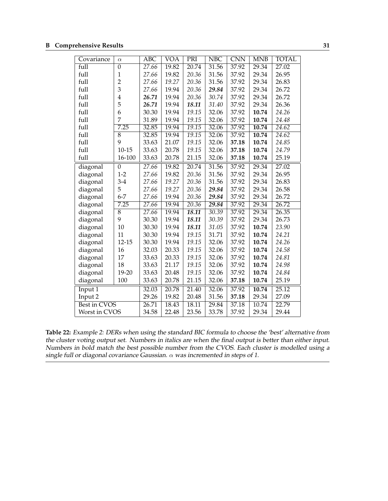<span id="page-34-0"></span>

| Covariance          | $\alpha$       | $\overline{ABC}$   | <b>VOA</b> | PRI                | NBC   | $\overline{\text{CNN}}$ | <b>MNB</b> | <b>TOTAL</b> |
|---------------------|----------------|--------------------|------------|--------------------|-------|-------------------------|------------|--------------|
| full                | $\overline{0}$ | $\overline{27.66}$ | 19.82      | $\overline{20.74}$ | 31.56 | 37.92                   | 29.34      | 27.02        |
| full                | $\mathbf{1}$   | 27.66              | 19.82      | 20.36              | 31.56 | 37.92                   | 29.34      | 26.95        |
| full                | $\overline{c}$ | 27.66              | 19.27      | 20.36              | 31.56 | 37.92                   | 29.34      | 26.83        |
| full                | $\overline{3}$ | 27.66              | 19.94      | 20.36              | 29.84 | 37.92                   | 29.34      | 26.72        |
| full                | $\overline{4}$ | 26.71              | 19.94      | 20.36              | 30.74 | 37.92                   | 29.34      | 26.72        |
| full                | 5              | 26.71              | 19.94      | 18.11              | 31.40 | 37.92                   | 29.34      | 26.36        |
| full                | 6              | 30.30              | 19.94      | 19.15              | 32.06 | 37.92                   | 10.74      | 24.26        |
| full                | 7              | 31.89              | 19.94      | 19.15              | 32.06 | 37.92                   | 10.74      | 24.48        |
| full                | 7.25           | 32.85              | 19.94      | 19.15              | 32.06 | 37.92                   | 10.74      | 24.62        |
| full                | $\overline{8}$ | 32.85              | 19.94      | 19.15              | 32.06 | 37.92                   | 10.74      | 24.62        |
| full                | 9              | 33.63              | 21.07      | 19.15              | 32.06 | 37.18                   | 10.74      | 24.85        |
| full                | $10 - 15$      | 33.63              | 20.78      | 19.15              | 32.06 | 37.18                   | 10.74      | 24.79        |
| full                | 16-100         | 33.63              | 20.78      | 21.15              | 32.06 | 37.18                   | 10.74      | 25.19        |
| diagonal            | $\overline{0}$ | 27.66              | 19.82      | 20.74              | 31.56 | 37.92                   | 29.34      | 27.02        |
| diagonal            | $1 - 2$        | 27.66              | 19.82      | 20.36              | 31.56 | 37.92                   | 29.34      | 26.95        |
| diagonal            | $3-4$          | 27.66              | 19.27      | 20.36              | 31.56 | 37.92                   | 29.34      | 26.83        |
| diagonal            | 5              | 27.66              | 19.27      | 20.36              | 29.84 | 37.92                   | 29.34      | 26.58        |
| diagonal            | $6 - 7$        | 27.66              | 19.94      | 20.36              | 29.84 | 37.92                   | 29.34      | 26.72        |
| diagonal            | 7.25           | 27.66              | 19.94      | 20.36              | 29.84 | 37.92                   | 29.34      | 26.72        |
| diagonal            | $\overline{8}$ | 27.66              | 19.94      | 18.11              | 30.39 | 37.92                   | 29.34      | 26.35        |
| diagonal            | 9              | 30.30              | 19.94      | 18.11              | 30.39 | 37.92                   | 29.34      | 26.73        |
| diagonal            | 10             | 30.30              | 19.94      | 18.11              | 31.05 | 37.92                   | 10.74      | 23.90        |
| diagonal            | 11             | 30.30              | 19.94      | 19.15              | 31.71 | 37.92                   | 10.74      | 24.21        |
| diagonal            | $12 - 15$      | 30.30              | 19.94      | 19.15              | 32.06 | 37.92                   | 10.74      | 24.26        |
| diagonal            | 16             | 32.03              | 20.33      | 19.15              | 32.06 | 37.92                   | 10.74      | 24.58        |
| diagonal            | 17             | 33.63              | 20.33      | 19.15              | 32.06 | 37.92                   | 10.74      | 24.81        |
| diagonal            | 18             | 33.63              | 21.17      | 19.15              | 32.06 | 37.92                   | 10.74      | 24.98        |
| diagonal            | 19-20          | 33.63              | 20.48      | 19.15              | 32.06 | 37.92                   | 10.74      | 24.84        |
| diagonal            | 100            | 33.63              | 20.78      | 21.15              | 32.06 | 37.18                   | 10.74      | 25.19        |
| Input 1             |                | 32.03              | 20.78      | 21.40              | 32.06 | 37.92                   | 10.74      | 25.12        |
| Input 2             |                | 29.26              | 19.82      | 20.48              | 31.56 | 37.18                   | 29.34      | 27.09        |
| <b>Best in CVOS</b> |                | 26.71              | 18.43      | 18.11              | 29.84 | 37.18                   | 10.74      | 22.79        |
| Worst in CVOS       |                | 34.58              | 22.48      | 23.56              | 33.78 | 37.92                   | 29.34      | 29.44        |

**Table 22:** Example 2: DERs when using the standard BIC formula to choose the 'best' alternative from the cluster voting output set. Numbers in italics are when the final output is better than either input. Numbers in bold match the best possible number from the CVOS. Each cluster is modelled using <sup>a</sup> single full or diagonal covariance Gaussian.  $\alpha$  was incremented in steps of 1.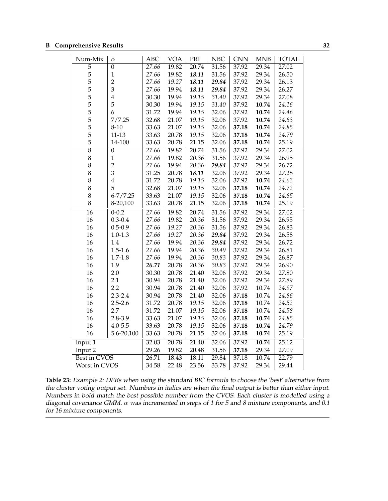<span id="page-35-0"></span>

| Num-Mix         | $\alpha$       | $\overline{ABC}$ | <b>VOA</b> | PRI   | $\overline{\text{NBC}}$ | $\overline{\text{CNN}}$ | <b>MNB</b> | <b>TOTAL</b> |
|-----------------|----------------|------------------|------------|-------|-------------------------|-------------------------|------------|--------------|
| $\overline{5}$  | $\overline{0}$ | 27.66            | 19.82      | 20.74 | 31.56                   | 37.92                   | 29.34      | 27.02        |
| 5               | $\mathbf 1$    | 27.66            | 19.82      | 18.11 | 31.56                   | 37.92                   | 29.34      | 26.50        |
|                 | $\overline{2}$ | 27.66            | 19.27      | 18.11 | 29.84                   | 37.92                   | 29.34      | 26.13        |
| $\frac{5}{5}$   | 3              | 27.66            | 19.94      | 18.11 | 29.84                   | 37.92                   | 29.34      | 26.27        |
|                 | $\overline{4}$ | 30.30            | 19.94      | 19.15 | 31.40                   | 37.92                   | 29.34      | 27.08        |
| 5               | 5              | 30.30            | 19.94      | 19.15 | 31.40                   | 37.92                   | 10.74      | 24.16        |
| 5               | 6              | 31.72            | 19.94      | 19.15 | 32.06                   | 37.92                   | 10.74      | 24.46        |
| $\frac{5}{5}$   | 7/7.25         | 32.68            | 21.07      | 19.15 | 32.06                   | 37.92                   | 10.74      | 24.83        |
|                 | $8 - 10$       | 33.63            | 21.07      | 19.15 | 32.06                   | 37.18                   | 10.74      | 24.85        |
| $\overline{5}$  | $11 - 13$      | 33.63            | 20.78      | 19.15 | 32.06                   | 37.18                   | 10.74      | 24.79        |
| 5               | 14-100         | 33.63            | 20.78      | 21.15 | 32.06                   | 37.18                   | 10.74      | 25.19        |
| $\overline{8}$  | $\overline{0}$ | 27.66            | 19.82      | 20.74 | 31.56                   | 37.92                   | 29.34      | 27.02        |
| 8               | $\mathbf{1}$   | 27.66            | 19.82      | 20.36 | 31.56                   | 37.92                   | 29.34      | 26.95        |
| 8               | $\overline{2}$ | 27.66            | 19.94      | 20.36 | 29.84                   | 37.92                   | 29.34      | 26.72        |
| 8               | 3              | 31.25            | 20.78      | 18.11 | 32.06                   | 37.92                   | 29.34      | 27.28        |
| 8               | $\overline{4}$ | 31.72            | 20.78      | 19.15 | 32.06                   | 37.92                   | 10.74      | 24.63        |
| 8               | 5              | 32.68            | 21.07      | 19.15 | 32.06                   | 37.18                   | 10.74      | 24.72        |
| 8               | $6 - 7 / 7.25$ | 33.63            | 21.07      | 19.15 | 32.06                   | 37.18                   | 10.74      | 24.85        |
| 8               | 8-20,100       | 33.63            | 20.78      | 21.15 | 32.06                   | 37.18                   | 10.74      | 25.19        |
| $\overline{16}$ | $0 - 0.2$      | 27.66            | 19.82      | 20.74 | 31.56                   | 37.92                   | 29.34      | 27.02        |
| 16              | $0.3 - 0.4$    | 27.66            | 19.82      | 20.36 | 31.56                   | 37.92                   | 29.34      | 26.95        |
| 16              | $0.5 - 0.9$    | 27.66            | 19.27      | 20.36 | 31.56                   | 37.92                   | 29.34      | 26.83        |
| 16              | $1.0 - 1.3$    | 27.66            | 19.27      | 20.36 | 29.84                   | 37.92                   | 29.34      | 26.58        |
| 16              | 1.4            | 27.66            | 19.94      | 20.36 | 29.84                   | 37.92                   | 29.34      | 26.72        |
| 16              | $1.5 - 1.6$    | 27.66            | 19.94      | 20.36 | 30.49                   | 37.92                   | 29.34      | 26.81        |
| 16              | $1.7 - 1.8$    | 27.66            | 19.94      | 20.36 | 30.83                   | 37.92                   | 29.34      | 26.87        |
| 16              | 1.9            | 26.71            | 20.78      | 20.36 | 30.83                   | 37.92                   | 29.34      | 26.90        |
| 16              | 2.0            | 30.30            | 20.78      | 21.40 | 32.06                   | 37.92                   | 29.34      | 27.80        |
| 16              | 2.1            | 30.94            | 20.78      | 21.40 | 32.06                   | 37.92                   | 29.34      | 27.89        |
| 16              | 2.2            | 30.94            | 20.78      | 21.40 | 32.06                   | 37.92                   | 10.74      | 24.97        |
| 16              | $2.3 - 2.4$    | 30.94            | 20.78      | 21.40 | 32.06                   | 37.18                   | 10.74      | 24.86        |
| 16              | $2.5 - 2.6$    | 31.72            | 20.78      | 19.15 | 32.06                   | 37.18                   | 10.74      | 24.52        |
| 16              | 2.7            | 31.72            | 21.07      | 19.15 | 32.06                   | 37.18                   | 10.74      | 24.58        |
| 16              | $2.8 - 3.9$    | 33.63            | 21.07      | 19.15 | 32.06                   | 37.18                   | 10.74      | 24.85        |
| 16              | $4.0 - 5.5$    | 33.63            | 20.78      | 19.15 | 32.06                   | 37.18                   | 10.74      | 24.79        |
| 16              | $5.6 - 20,100$ | 33.63            | 20.78      | 21.15 | 32.06                   | 37.18                   | 10.74      | 25.19        |
| Input 1         |                | 32.03            | 20.78      | 21.40 | 32.06                   | 37.92                   | 10.74      | 25.12        |
| Input 2         |                | 29.26            | 19.82      | 20.48 | 31.56                   | 37.18                   | 29.34      | 27.09        |
| Best in CVOS    |                | 26.71            | 18.43      | 18.11 | 29.84                   | 37.18                   | 10.74      | 22.79        |
| Worst in CVOS   |                | 34.58            | 22.48      | 23.56 | 33.78                   | 37.92                   | 29.34      | 29.44        |

**Table 23:** Example 2: DERs when using the standard BIC formula to choose the 'best' alternative from the cluster voting output set. Numbers in italics are when the final output is better than either input. Numbers in bold match the best possible number from the CVOS. Each cluster is modelled using <sup>a</sup> diagonal covariance GMM.  $\alpha$  was incremented in steps of 1 for 5 and 8 mixture components, and 0.1 for 16 mixture components.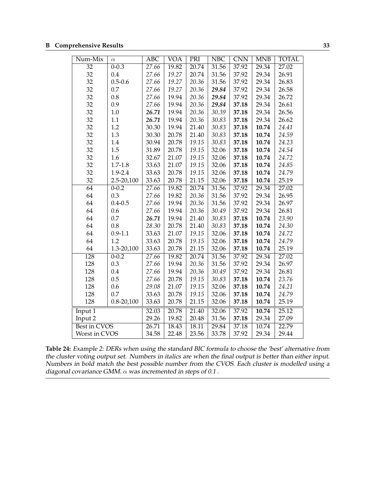<span id="page-36-0"></span>

| Num-Mix             | $\alpha$       | <b>ABC</b> | VOA   | PRI   | NBC   | <b>CNN</b> | <b>MNB</b> | <b>TOTAL</b> |
|---------------------|----------------|------------|-------|-------|-------|------------|------------|--------------|
| $\overline{32}$     | $0 - 0.3$      | 27.66      | 19.82 | 20.74 | 31.56 | 37.92      | 29.34      | 27.02        |
| 32                  | 0.4            | 27.66      | 19.27 | 20.74 | 31.56 | 37.92      | 29.34      | 26.91        |
| 32                  | $0.5 - 0.6$    | 27.66      | 19.27 | 20.36 | 31.56 | 37.92      | 29.34      | 26.83        |
| 32                  | 0.7            | 27.66      | 19.27 | 20.36 | 29.84 | 37.92      | 29.34      | 26.58        |
| 32                  | 0.8            | 27.66      | 19.94 | 20.36 | 29.84 | 37.92      | 29.34      | 26.72        |
| 32                  | 0.9            | 27.66      | 19.94 | 20.36 | 29.84 | 37.18      | 29.34      | 26.61        |
| 32                  | $1.0\,$        | 26.71      | 19.94 | 20.36 | 30.39 | 37.18      | 29.34      | 26.56        |
| 32                  | 1.1            | 26.71      | 19.94 | 20.36 | 30.83 | 37.18      | 29.34      | 26.62        |
| 32                  | 1.2            | 30.30      | 19.94 | 21.40 | 30.83 | 37.18      | 10.74      | 24.41        |
| 32                  | 1.3            | 30.30      | 20.78 | 21.40 | 30.83 | 37.18      | 10.74      | 24.59        |
| 32                  | 1.4            | 30.94      | 20.78 | 19.15 | 30.83 | 37.18      | 10.74      | 24.23        |
| 32                  | 1.5            | 31.89      | 20.78 | 19.15 | 32.06 | 37.18      | 10.74      | 24.54        |
| 32                  | 1.6            | 32.67      | 21.07 | 19.15 | 32.06 | 37.18      | 10.74      | 24.72        |
| 32                  | $1.7 - 1.8$    | 33.63      | 21.07 | 19.15 | 32.06 | 37.18      | 10.74      | 24.85        |
| 32                  | 1.9-2.4        | 33.63      | 20.78 | 19.15 | 32.06 | 37.18      | 10.74      | 24.79        |
| 32                  | 2.5-20,100     | 33.63      | 20.78 | 21.15 | 32.06 | 37.18      | 10.74      | 25.19        |
| $\overline{64}$     | $0 - 0.2$      | 27.66      | 19.82 | 20.74 | 31.56 | 37.92      | 29.34      | 27.02        |
| 64                  | 0.3            | 27.66      | 19.82 | 20.36 | 31.56 | 37.92      | 29.34      | 26.95        |
| 64                  | $0.4 - 0.5$    | 27.66      | 19.94 | 20.36 | 31.56 | 37.92      | 29.34      | 26.97        |
| 64                  | 0.6            | 27.66      | 19.94 | 20.36 | 30.49 | 37.92      | 29.34      | 26.81        |
| 64                  | 0.7            | 26.71      | 19.94 | 21.40 | 30.83 | 37.18      | 10.74      | 23.90        |
| 64                  | 0.8            | 28.30      | 20.78 | 21.40 | 30.83 | 37.18      | 10.74      | 24.30        |
| 64                  | $0.9 - 1.1$    | 33.63      | 21.07 | 19.15 | 32.06 | 37.18      | 10.74      | 24.72        |
| 64                  | 1.2            | 33.63      | 20.78 | 19.15 | 32.06 | 37.18      | 10.74      | 24.79        |
| 64                  | 1.3-20,100     | 33.63      | 20.78 | 21.15 | 32.06 | 37.18      | 10.74      | 25.19        |
| $\overline{128}$    | $0 - 0.2$      | 27.66      | 19.82 | 20.74 | 31.56 | 37.92      | 29.34      | 27.02        |
| 128                 | 0.3            | 27.66      | 19.94 | 20.36 | 31.56 | 37.92      | 29.34      | 26.97        |
| 128                 | 0.4            | 27.66      | 19.94 | 20.36 | 30.49 | 37.92      | 29.34      | 26.81        |
| 128                 | 0.5            | 27.66      | 20.78 | 19.15 | 30.83 | 37.18      | 10.74      | 23.76        |
| 128                 | 0.6            | 29.08      | 21.07 | 19.15 | 32.06 | 37.18      | 10.74      | 24.21        |
| 128                 | 0.7            | 33.63      | 20.78 | 19.15 | 32.06 | 37.18      | 10.74      | 24.79        |
| 128                 | $0.8 - 20,100$ | 33.63      | 20.78 | 21.15 | 32.06 | 37.18      | 10.74      | 25.19        |
| Input 1             |                | 32.03      | 20.78 | 21.40 | 32.06 | 37.92      | 10.74      | 25.12        |
| Input 2             |                | 29.26      | 19.82 | 20.48 | 31.56 | 37.18      | 29.34      | 27.09        |
| <b>Best in CVOS</b> |                | 26.71      | 18.43 | 18.11 | 29.84 | 37.18      | 10.74      | 22.79        |
| Worst in CVOS       |                | 34.58      | 22.48 | 23.56 | 33.78 | 37.92      | 29.34      | 29.44        |

**Table 24:** Example 2: DERs when using the standard BIC formula to choose the 'best' alternative from the cluster voting output set. Numbers in italics are when the final output is better than either input. Numbers in bold match the best possible number from the CVOS. Each cluster is modelled using <sup>a</sup> diagonal covariance GMM.  $\alpha$  was incremented in steps of 0.1.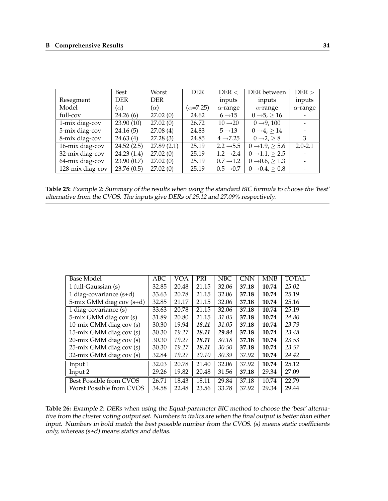|                  | Best       | Worst             | <b>DER</b>        | DER <                 | DER between                   | $DER$ >         |
|------------------|------------|-------------------|-------------------|-----------------------|-------------------------------|-----------------|
| Resegment        | <b>DER</b> | <b>DER</b>        |                   | inputs                | inputs                        | inputs          |
| Model            | $(\alpha)$ | $(\alpha)$        | $(\alpha = 7.25)$ | $\alpha$ -range       | $\alpha$ -range               | $\alpha$ -range |
| full-cov         | 24.26(6)   | 27.02(0)          | 24.62             | $6 \rightarrow 15$    | $0 \rightarrow 5, \geq 16$    |                 |
| 1-mix diag-cov   | 23.90(10)  | $\sqrt{27.02(0)}$ | 26.72             | $10 \rightarrow 20$   | $0 \rightarrow 9, 100$        |                 |
| 5-mix diag-cov   | 24.16(5)   | 27.08(4)          | 24.83             | $5 \rightarrow 13$    | $0 \rightarrow 4$ , $> 14$    |                 |
| 8-mix diag-cov   | 24.63(4)   | 27.28(3)          | 24.85             | $4 \rightarrow 7.25$  | $0 \rightarrow 2 > 8$         | 3               |
| 16-mix diag-cov  | 24.52(2.5) | 27.89(2.1)        | 25.19             | $2.2 \rightarrow 5.5$ | $0 \rightarrow 1.9$ , $> 5.6$ | $2.0 - 2.1$     |
| 32-mix diag-cov  | 24.23(1.4) | 27.02(0)          | 25.19             | $1.2 \rightarrow 2.4$ | $0 \rightarrow 1.1, \ge 2.5$  |                 |
| 64-mix diag-cov  | 23.90(0.7) | 27.02(0)          | 25.19             | $0.7 \rightarrow 1.2$ | $0 \rightarrow 0.6, \ge 1.3$  |                 |
| 128-mix diag-cov | 23.76(0.5) | 27.02(0)          | 25.19             | $0.5 \rightarrow 0.7$ | $0 \rightarrow 0.4 > 0.8$     |                 |

| Table 25: Example 2: Summary of the results when using the standard BIC formula to choose the 'best' |  |
|------------------------------------------------------------------------------------------------------|--|
| alternative from the CVOS. The inputs give DERs of 25.12 and 27.09% respectively.                    |  |

| Base Model                | <b>ABC</b> | VOA   | PRI   | <b>NBC</b> | <b>CNN</b> | <b>MNB</b> | <b>TOTAL</b> |
|---------------------------|------------|-------|-------|------------|------------|------------|--------------|
| 1 full-Gaussian (s)       | 32.85      | 20.48 | 21.15 | 32.06      | 37.18      | 10.74      | 25.02        |
| 1 diag-covariance $(s+d)$ | 33.63      | 20.78 | 21.15 | 32.06      | 37.18      | 10.74      | 25.19        |
| 5-mix GMM diag cov (s+d)  | 32.85      | 21.17 | 21.15 | 32.06      | 37.18      | 10.74      | 25.16        |
| 1 diag-covariance (s)     | 33.63      | 20.78 | 21.15 | 32.06      | 37.18      | 10.74      | 25.19        |
| 5-mix GMM diag cov (s)    | 31.89      | 20.80 | 21.15 | 31.05      | 37.18      | 10.74      | 24.80        |
| 10-mix GMM diag cov (s)   | 30.30      | 19.94 | 18.11 | 31.05      | 37.18      | 10.74      | 23.79        |
| 15-mix GMM diag cov (s)   | 30.30      | 19.27 | 18.11 | 29.84      | 37.18      | 10.74      | 23.48        |
| 20-mix GMM diag cov (s)   | 30.30      | 19.27 | 18.11 | 30.18      | 37.18      | 10.74      | 23.53        |
| 25-mix GMM diag cov (s)   | 30.30      | 19.27 | 18.11 | 30.50      | 37.18      | 10.74      | 23.57        |
| 32-mix GMM diag cov (s)   | 32.84      | 19.27 | 20.10 | 30.39      | 37.92      | 10.74      | 24.42        |
| Input 1                   | 32.03      | 20.78 | 21.40 | 32.06      | 37.92      | 10.74      | 25.12        |
| Input 2                   | 29.26      | 19.82 | 20.48 | 31.56      | 37.18      | 29.34      | 27.09        |
| Best Possible from CVOS   | 26.71      | 18.43 | 18.11 | 29.84      | 37.18      | 10.74      | 22.79        |
| Worst Possible from CVOS  | 34.58      | 22.48 | 23.56 | 33.78      | 37.92      | 29.34      | 29.44        |

**Table 26:** Example 2: DERs when using the Equal-parameter BIC method to choose the 'best' alternative from the cluster voting output set. Numbers in italics are when the final output is better than either input. Numbers in bold match the best possible number from the CVOS. (s) means static coefficients only, whereas (s+d) means statics and deltas.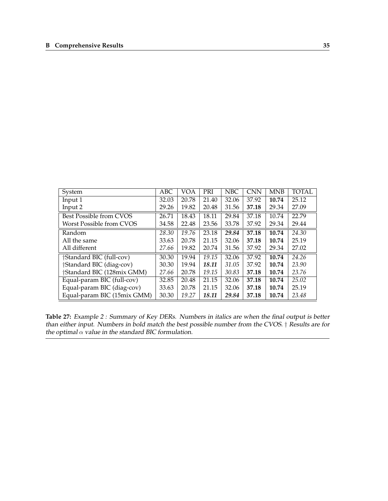| System                                | ABC   | VOA   | PRI   | <b>NBC</b> | <b>CNN</b> | <b>MNB</b> | <b>TOTAL</b> |
|---------------------------------------|-------|-------|-------|------------|------------|------------|--------------|
| Input 1                               | 32.03 | 20.78 | 21.40 | 32.06      | 37.92      | 10.74      | 25.12        |
| Input 2                               | 29.26 | 19.82 | 20.48 | 31.56      | 37.18      | 29.34      | 27.09        |
| Best Possible from CVOS               | 26.71 | 18.43 | 18.11 | 29.84      | 37.18      | 10.74      | 22.79        |
| Worst Possible from CVOS              | 34.58 | 22.48 | 23.56 | 33.78      | 37.92      | 29.34      | 29.44        |
| Random                                | 28.30 | 19.76 | 23.18 | 29.84      | 37.18      | 10.74      | 24.30        |
| All the same                          | 33.63 | 20.78 | 21.15 | 32.06      | 37.18      | 10.74      | 25.19        |
| All different                         | 27.66 | 19.82 | 20.74 | 31.56      | 37.92      | 29.34      | 27.02        |
| †Standard BIC (full-cov)              | 30.30 | 19.94 | 19.15 | 32.06      | 37.92      | 10.74      | 24.26        |
| <i><b>Standard BIC (diag-cov)</b></i> | 30.30 | 19.94 | 18.11 | 31.05      | 37.92      | 10.74      | 23.90        |
| Standard BIC (128mix GMM)             | 27.66 | 20.78 | 19.15 | 30.83      | 37.18      | 10.74      | 23.76        |
| Equal-param BIC (full-cov)            | 32.85 | 20.48 | 21.15 | 32.06      | 37.18      | 10.74      | 25.02        |
| Equal-param BIC (diag-cov)            | 33.63 | 20.78 | 21.15 | 32.06      | 37.18      | 10.74      | 25.19        |
| Equal-param BIC (15mix GMM)           | 30.30 | 19.27 | 18.11 | 29.84      | 37.18      | 10.74      | 23.48        |

**Table 27:** Example <sup>2</sup> : Summary of Key DERs. Numbers in italics are when the final output is better than either input. Numbers in bold match the best possible number from the CVOS. † Results are for the optimal  $\alpha$  value in the standard BIC formulation.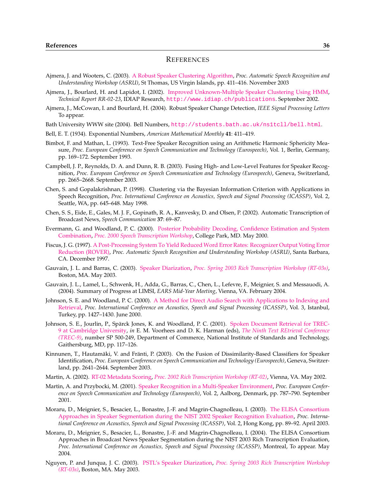### **REFERENCES**

- <span id="page-39-0"></span>Ajmera, J. and Wooters, C. (2003). [A Robust Speaker Clustering Algorithm,](ftp://ftp.idiap.ch/pub/reports/2003/ajmera2003asru.pdf) *Proc. Automatic Speech Recognition and Understanding Workshop (ASRU)*, St Thomas, US Virgin Islands, pp. 411–416. November 2003
- Ajmera, J., Bourlard, H. and Lapidot, I. (2002). [Improved Unknown-Multiple Speaker Clustering Using HMM,](http://www.idiap.ch/publications/ajmera-rr-02-23.bib.abs.html) *Technical Report RR-02-23*, IDIAP Research, <http://www.idiap.ch/publications>. September 2002.
- Ajmera, J., McCowan, I. and Bourlard, H. (2004). Robust Speaker Change Detection, *IEEE Signal Processing Letters* To appear.
- Bath University WWW site (2004). Bell Numbers, <http://students.bath.ac.uk/ns1tcll/bell.html>.
- Bell, E. T. (1934). Exponential Numbers, *American Mathematical Monthly* **41**: 411–419.
- Bimbot, F. and Mathan, L. (1993). Text-Free Speaker Recognition using an Arithmetic Harmonic Sphericity Measure, *Proc. European Conference on Speech Communication and Technology (Eurospeech)*, Vol. 1, Berlin, Germany, pp. 169–172. September 1993.
- Campbell, J. P., Reynolds, D. A. and Dunn, R. B. (2003). Fusing High- and Low-Level Features for Speaker Recognition, *Proc. European Conference on Speech Communication and Technology (Eurospeech)*, Geneva, Switzerland, pp. 2665–2668. September 2003.
- Chen, S. and Gopalakrishnan, P. (1998). Clustering via the Bayesian Information Criterion with Applications in Speech Recognition, *Proc. International Conference on Acoustics, Speech and Signal Processing (ICASSP)*, Vol. 2, Seattle, WA, pp. 645–648. May 1998.
- Chen, S. S., Eide, E., Gales, M. J. F., Gopinath, R. A., Kanvesky, D. and Olsen, P. (2002). Automatic Transcription of Broadcast News, *Speech Communication* **37**: 69–87.
- Evermann, G. and Woodland, P. C. (2000). [Posterior Probability Decoding, Confidence Estimation and System](http://mi.eng.cam.ac.uk/reports/abstracts/evermann_stw00.html) [Combination,](http://mi.eng.cam.ac.uk/reports/abstracts/evermann_stw00.html) *[Proc. 2000 Speech Transcription Workshop](http://www.nist.gov/speech/publications/tw00/)*, College Park, MD. May 2000.
- Fiscus, J. G. (1997). [A Post-Processing System To Yield Reduced Word Error Rates: Recognizer Output Voting Error](http://www.nist.gov/speech/publications/papersrc/rover.ps) [Reduction \(ROVER\),](http://www.nist.gov/speech/publications/papersrc/rover.ps) *Proc. Automatic Speech Recognition and Understanding Workshop (ASRU)*, Santa Barbara, CA. December 1997.
- Gauvain, J. L. and Barras, C. (2003). [Speaker Diarization,](http://www.nist.gov/speech/tests/rt/rt2003/spring/presentations/limsi_rt0503spkrvg.pdf) *[Proc. Spring 2003 Rich Transcription Workshop \(RT-03s\)](http://www.nist.gov/speech/tests/rt/rt2003/spring/presentations)*, Boston, MA. May 2003.
- Gauvain, J. L., Lamel, L., Schwenk, H., Adda, G., Barras, C., Chen, L., Lefevre, F., Meignier, S. and Messauodi, A. (2004). Summary of Progress at LIMSI, *EARS Mid-Year Meeting*, Vienna, VA. February 2004.
- Johnson, S. E. and Woodland, P. C. (2000). [A Method for Direct Audio Search with Applications to Indexing and](http://mi.eng.cam.ac.uk/reports/abstracts/johnson_icassp00.html) [Retrieval,](http://mi.eng.cam.ac.uk/reports/abstracts/johnson_icassp00.html) *Proc. International Conference on Acoustics, Speech and Signal Processing (ICASSP)*, Vol. 3, Istanbul, Turkey, pp. 1427–1430. June 2000.
- Johnson, S. E., Jourlin, P., Sparck Jones, K. and Woodland, P. C. (2001). ¨ [Spoken Document Retrieval for TREC-](http://mi.eng.cam.ac.uk/reports/abstracts/johnson_trec9.html)[9 at Cambridge University,](http://mi.eng.cam.ac.uk/reports/abstracts/johnson_trec9.html) *in* E. M. Voorhees and D. K. Harman (eds), *[The Ninth Text REtrieval Conference](http://trec.nist.gov/pubs/trec9/t9_proceedings.html) [\(TREC-9\)](http://trec.nist.gov/pubs/trec9/t9_proceedings.html)*, number SP 500-249, Department of Commerce, National Institute of Standards and Technology, Gaithersburg, MD, pp. 117–126.
- Kinnunen, T., Hautamäki, V. and Fränti, P. (2003). On the Fusion of Dissimilarity-Based Classifiers for Speaker Identification, *Proc. European Conference on Speech Communication and Technology (Eurospeech)*, Geneva, Switzerland, pp. 2641–2644. September 2003.
- Martin, A. (2002). [RT-02 Metadata Scoring,](http://www.nist.gov/speech/tests/rt/rt2002/presentations/metascorev3.pdf) *[Proc. 2002 Rich Transcription Workshop \(RT-02\)](http://www.nist.gov/speech/tests/rt/rt2002/presentations)*, Vienna, VA. May 2002.
- Martin, A. and Przybocki, M. (2001). [Speaker Recognition in a Multi-Speaker Environment,](http://www.nist.gov/speech/publications/papersrc/euro01paperv2.7.pdf) *Proc. European Conference on Speech Communication and Technology (Eurospeech)*, Vol. 2, Aalborg, Denmark, pp. 787–790. September 2001.
- Moraru, D., Meignier, S., Besacier, L., Bonastre, J.-F. and Magrin-Chagnolleau, I. (2003). [The ELISA Consortium](http://www.lia.univ-avignon.fr/fich_art/339-mor-icassp2003.pdf) [Approaches in Speaker Segmentation during the NIST 2002 Speaker Recognition Evaluation,](http://www.lia.univ-avignon.fr/fich_art/339-mor-icassp2003.pdf) *Proc. International Conference on Acoustics, Speech and Signal Processing (ICASSP)*, Vol. 2, Hong Kong, pp. 89–92. April 2003.
- Moraru, D., Meignier, S., Besacier, L., Bonastre, J.-F. and Magrin-Chagnolleau, I. (2004). The ELISA Consortium Approaches in Broadcast News Speaker Segmentation during the NIST 2003 Rich Transcription Evaluation, *Proc. International Conference on Acoustics, Speech and Signal Processing (ICASSP)*, Montreal, To appear. May 2004.
- Nguyen, P. and Junqua, J. C. (2003). [PSTL's Speaker Diarization,](http://www.nist.gov/speech/tests/rt/rt2003/spring/presentations/panasonic-spkr-rt03.pdf) *[Proc. Spring 2003 Rich Transcription Workshop](http://www.nist.gov/speech/tests/rt/rt2003/spring/presentations) [\(RT-03s\)](http://www.nist.gov/speech/tests/rt/rt2003/spring/presentations)*, Boston, MA. May 2003.